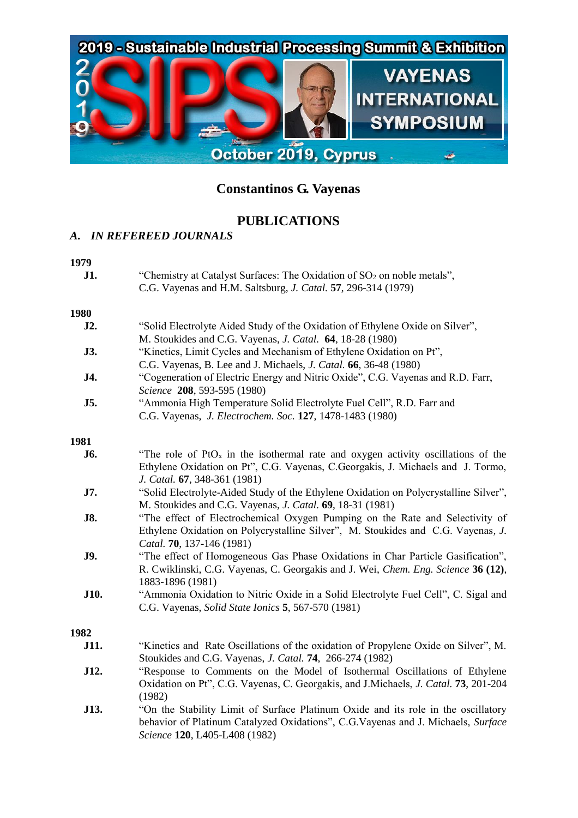

# **Constantinos G. Vayenas**

## **PUBLICATIONS**

## *A. IN REFEREED JOURNALS*

## **1979**

| <b>J1.</b> | "Chemistry at Catalyst Surfaces: The Oxidation of $SO_2$ on noble metals", |
|------------|----------------------------------------------------------------------------|
|            | C.G. Vayenas and H.M. Saltsburg, <i>J. Catal.</i> 57, 296-314 (1979)       |

#### **1980**

| J2.         | "Solid Electrolyte Aided Study of the Oxidation of Ethylene Oxide on Silver",                |
|-------------|----------------------------------------------------------------------------------------------|
|             | M. Stoukides and C.G. Vayenas, J. Catal. 64, 18-28 (1980)                                    |
| <b>J3.</b>  | "Kinetics, Limit Cycles and Mechanism of Ethylene Oxidation on Pt",                          |
|             | C.G. Vayenas, B. Lee and J. Michaels, J. Catal. 66, 36-48 (1980)                             |
| J4.         | "Cogeneration of Electric Energy and Nitric Oxide", C.G. Vayenas and R.D. Farr,              |
|             | Science 208, 593-595 (1980)                                                                  |
| J5.         | "Ammonia High Temperature Solid Electrolyte Fuel Cell", R.D. Farr and                        |
|             | C.G. Vayenas, J. Electrochem. Soc. 127, 1478-1483 (1980)                                     |
| 1981        |                                                                                              |
| J6.         | "The role of PtO <sub>x</sub> in the isothermal rate and oxygen activity oscillations of the |
|             | Ethylene Oxidation on Pt", C.G. Vayenas, C.Georgakis, J. Michaels and J. Tormo,              |
|             | J. Catal. 67, 348-361 (1981)                                                                 |
| J7.         | "Solid Electrolyte-Aided Study of the Ethylene Oxidation on Polycrystalline Silver",         |
|             | M. Stoukides and C.G. Vayenas, <i>J. Catal.</i> <b>69</b> , 18-31 (1981)                     |
| <b>J8.</b>  | "The effect of Electrochemical Oxygen Pumping on the Rate and Selectivity of                 |
|             | Ethylene Oxidation on Polycrystalline Silver", M. Stoukides and C.G. Vayenas, J.             |
|             | Catal. <b>70</b> , 137-146 (1981)                                                            |
| J9.         | "The effect of Homogeneous Gas Phase Oxidations in Char Particle Gasification",              |
|             | R. Cwiklinski, C.G. Vayenas, C. Georgakis and J. Wei, Chem. Eng. Science 36 (12),            |
|             | 1883-1896 (1981)                                                                             |
| <b>J10.</b> | "Ammonia Oxidation to Nitric Oxide in a Solid Electrolyte Fuel Cell", C. Sigal and           |
|             | C.G. Vayenas, Solid State Ionics 5, 567-570 (1981)                                           |

- **J11.** "Kinetics and Rate Oscillations of the oxidation of Propylene Oxide on Silver", M. Stoukides and C.G. Vayenas, *J. Catal.* **74**, 266-274 (1982)
- **J12.** "Response to Comments on the Model of Isothermal Oscillations of Ethylene Oxidation on Pt", C.G. Vayenas, C. Georgakis, and J.Michaels, *J. Catal.* **73**, 201-204 (1982)
- **J13.** "On the Stability Limit of Surface Platinum Oxide and its role in the oscillatory behavior of Platinum Catalyzed Oxidations", C.G.Vayenas and J. Michaels, *Surface Science* **120**, L405-L408 (1982)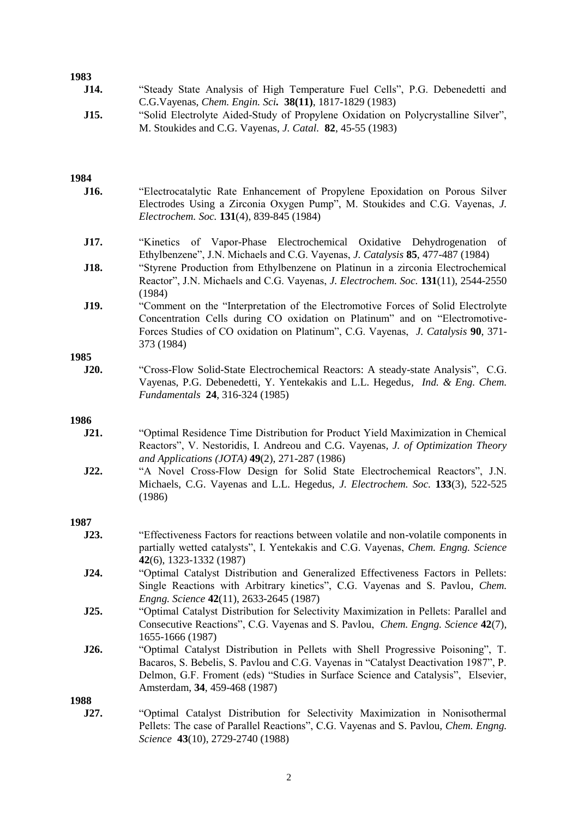| エノひご |                                                                                                                                                                                                                                                                                             |
|------|---------------------------------------------------------------------------------------------------------------------------------------------------------------------------------------------------------------------------------------------------------------------------------------------|
| J14. | "Steady State Analysis of High Temperature Fuel Cells", P.G. Debenedetti and<br>C.G.Vayenas, Chem. Engin. Sci. 38(11), 1817-1829 (1983)                                                                                                                                                     |
| J15. | "Solid Electrolyte Aided-Study of Propylene Oxidation on Polycrystalline Silver",<br>M. Stoukides and C.G. Vayenas, <i>J. Catal.</i> <b>82</b> , 45-55 (1983)                                                                                                                               |
| 1984 |                                                                                                                                                                                                                                                                                             |
| J16. | "Electrocatalytic Rate Enhancement of Propylene Epoxidation on Porous Silver<br>Electrodes Using a Zirconia Oxygen Pump", M. Stoukides and C.G. Vayenas, J.<br>Electrochem. Soc. 131(4), 839-845 (1984)                                                                                     |
| J17. | "Kinetics of Vapor-Phase Electrochemical Oxidative Dehydrogenation<br>of<br>Ethylbenzene", J.N. Michaels and C.G. Vayenas, J. Catalysis 85, 477-487 (1984)                                                                                                                                  |
| J18. | "Styrene Production from Ethylbenzene on Platinun in a zirconia Electrochemical<br>Reactor", J.N. Michaels and C.G. Vayenas, J. Electrochem. Soc. 131(11), 2544-2550<br>(1984)                                                                                                              |
| J19. | "Comment on the "Interpretation of the Electromotive Forces of Solid Electrolyte<br>Concentration Cells during CO oxidation on Platinum" and on "Electromotive-<br>Forces Studies of CO oxidation on Platinum", C.G. Vayenas, J. Catalysis 90, 371-<br>373 (1984)                           |
| 1985 |                                                                                                                                                                                                                                                                                             |
| J20. | "Cross-Flow Solid-State Electrochemical Reactors: A steady-state Analysis", C.G.<br>Vayenas, P.G. Debenedetti, Y. Yentekakis and L.L. Hegedus, <i>Ind. &amp; Eng. Chem.</i><br>Fundamentals 24, 316-324 (1985)                                                                              |
| 1986 |                                                                                                                                                                                                                                                                                             |
| J21. | "Optimal Residence Time Distribution for Product Yield Maximization in Chemical<br>Reactors", V. Nestoridis, I. Andreou and C.G. Vayenas, J. of Optimization Theory<br>and Applications (JOTA) 49(2), 271-287 (1986)                                                                        |
| J22. | "A Novel Cross-Flow Design for Solid State Electrochemical Reactors", J.N.<br>Michaels, C.G. Vayenas and L.L. Hegedus, J. Electrochem. Soc. 133(3), 522-525<br>(1986)                                                                                                                       |
| 1987 |                                                                                                                                                                                                                                                                                             |
| J23. | "Effectiveness Factors for reactions between volatile and non-volatile components in<br>partially wetted catalysts", I. Yentekakis and C.G. Vayenas, Chem. Engng. Science<br>42(6), 1323-1332 (1987)                                                                                        |
| J24. | "Optimal Catalyst Distribution and Generalized Effectiveness Factors in Pellets:<br>Single Reactions with Arbitrary kinetics", C.G. Vayenas and S. Pavlou, Chem.<br>Engng. Science 42(11), 2633-2645 (1987)                                                                                 |
| J25. | "Optimal Catalyst Distribution for Selectivity Maximization in Pellets: Parallel and<br>Consecutive Reactions", C.G. Vayenas and S. Pavlou, <i>Chem. Engng. Science</i> 42(7),<br>1655-1666 (1987)                                                                                          |
| J26. | "Optimal Catalyst Distribution in Pellets with Shell Progressive Poisoning", T.<br>Bacaros, S. Bebelis, S. Pavlou and C.G. Vayenas in "Catalyst Deactivation 1987", P.<br>Delmon, G.F. Froment (eds) "Studies in Surface Science and Catalysis", Elsevier,<br>Amsterdam, 34, 459-468 (1987) |
| 1988 |                                                                                                                                                                                                                                                                                             |
| J27. | "Optimal Catalyst Distribution for Selectivity Maximization in Nonisothermal<br>Pellets: The case of Parallel Reactions", C.G. Vayenas and S. Pavlou, Chem. Engng.                                                                                                                          |

*Science* **43**(10), 2729-2740 (1988)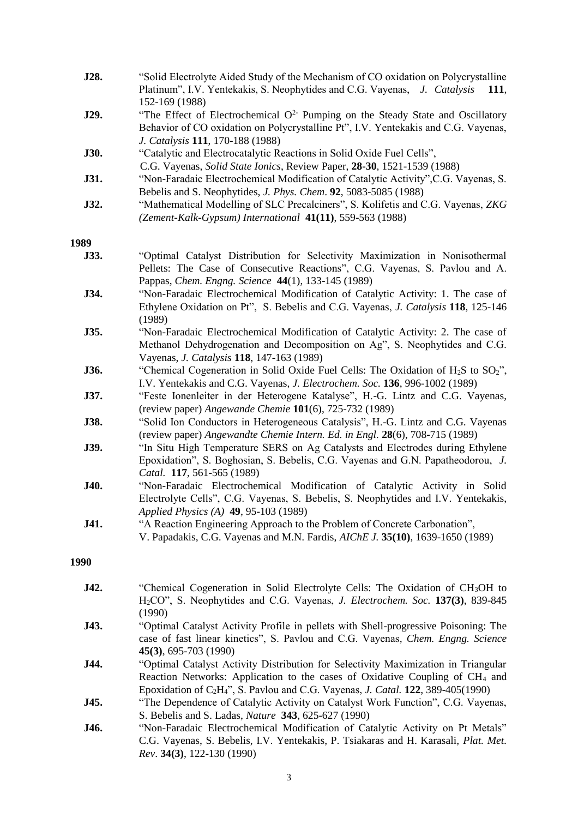| J28. | "Solid Electrolyte Aided Study of the Mechanism of CO oxidation on Polycrystalline<br>Platinum", I.V. Yentekakis, S. Neophytides and C.G. Vayenas, J. Catalysis<br>111,<br>152-169 (1988)                                                                                                          |
|------|----------------------------------------------------------------------------------------------------------------------------------------------------------------------------------------------------------------------------------------------------------------------------------------------------|
| J29. | "The Effect of Electrochemical $O^2$ Pumping on the Steady State and Oscillatory<br>Behavior of CO oxidation on Polycrystalline Pt", I.V. Yentekakis and C.G. Vayenas,<br>J. Catalysis 111, 170-188 (1988)                                                                                         |
| J30. | "Catalytic and Electrocatalytic Reactions in Solid Oxide Fuel Cells",<br>C.G. Vayenas, Solid State Ionics, Review Paper, 28-30, 1521-1539 (1988)                                                                                                                                                   |
| J31. | "Non-Faradaic Electrochemical Modification of Catalytic Activity", C.G. Vayenas, S.<br>Bebelis and S. Neophytides, J. Phys. Chem. 92, 5083-5085 (1988)                                                                                                                                             |
| J32. | "Mathematical Modelling of SLC Precalciners", S. Kolifetis and C.G. Vayenas, ZKG<br>(Zement-Kalk-Gypsum) International 41(11), 559-563 (1988)                                                                                                                                                      |
|      |                                                                                                                                                                                                                                                                                                    |
| 1989 |                                                                                                                                                                                                                                                                                                    |
| J33. | "Optimal Catalyst Distribution for Selectivity Maximization in Nonisothermal<br>Pellets: The Case of Consecutive Reactions", C.G. Vayenas, S. Pavlou and A.<br>Pappas, Chem. Engng. Science 44(1), 133-145 (1989)                                                                                  |
| J34. | "Non-Faradaic Electrochemical Modification of Catalytic Activity: 1. The case of<br>Ethylene Oxidation on Pt", S. Bebelis and C.G. Vayenas, J. Catalysis 118, 125-146<br>(1989)                                                                                                                    |
| J35. | "Non-Faradaic Electrochemical Modification of Catalytic Activity: 2. The case of<br>Methanol Dehydrogenation and Decomposition on Ag", S. Neophytides and C.G.<br>Vayenas, J. Catalysis 118, 147-163 (1989)                                                                                        |
| J36. | "Chemical Cogeneration in Solid Oxide Fuel Cells: The Oxidation of $H_2S$ to $SO_2$ ",<br>I.V. Yentekakis and C.G. Vayenas, J. Electrochem. Soc. 136, 996-1002 (1989)                                                                                                                              |
| J37. | "Feste Ionenleiter in der Heterogene Katalyse", H.-G. Lintz and C.G. Vayenas,<br>(review paper) Angewande Chemie 101(6), 725-732 (1989)                                                                                                                                                            |
| J38. | "Solid Ion Conductors in Heterogeneous Catalysis", H.-G. Lintz and C.G. Vayenas<br>(review paper) Angewandte Chemie Intern. Ed. in Engl. 28(6), 708-715 (1989)                                                                                                                                     |
| J39. | "In Situ High Temperature SERS on Ag Catalysts and Electrodes during Ethylene<br>Epoxidation", S. Boghosian, S. Bebelis, C.G. Vayenas and G.N. Papatheodorou, J.<br>Catal. 117, 561-565 (1989)                                                                                                     |
| J40. | "Non-Faradaic Electrochemical Modification of Catalytic Activity in Solid<br>Electrolyte Cells", C.G. Vayenas, S. Bebelis, S. Neophytides and I.V. Yentekakis,<br>Applied Physics (A) 49, 95-103 (1989)                                                                                            |
| J41. | "A Reaction Engineering Approach to the Problem of Concrete Carbonation",<br>V. Papadakis, C.G. Vayenas and M.N. Fardis, <i>AIChE J.</i> 35(10), 1639-1650 (1989)                                                                                                                                  |
| 1990 |                                                                                                                                                                                                                                                                                                    |
| J42. | "Chemical Cogeneration in Solid Electrolyte Cells: The Oxidation of $CH3OH$ to                                                                                                                                                                                                                     |
|      | H <sub>2</sub> CO", S. Neophytides and C.G. Vayenas, <i>J. Electrochem. Soc.</i> 137(3), 839-845<br>(1990)                                                                                                                                                                                         |
| J43. | "Optimal Catalyst Activity Profile in pellets with Shell-progressive Poisoning: The<br>case of fast linear kinetics", S. Pavlou and C.G. Vayenas, Chem. Engng. Science<br>$45(3)$ , 695-703 (1990)                                                                                                 |
| J44. | "Optimal Catalyst Activity Distribution for Selectivity Maximization in Triangular<br>Reaction Networks: Application to the cases of Oxidative Coupling of CH <sub>4</sub> and<br>Epoxidation of C <sub>2</sub> H <sub>4</sub> ", S. Pavlou and C.G. Vayenas, J. Catal. <b>122</b> , 389-405(1990) |
| J45. | "The Dependence of Catalytic Activity on Catalyst Work Function", C.G. Vayenas,<br>S. Bebelis and S. Ladas, <i>Nature</i> 343, 625-627 (1990)                                                                                                                                                      |
| TA   | "Non Foredaic Floctrochamical Modification of Catalytic Activity on Pt Mateley"                                                                                                                                                                                                                    |

**J46.** "Non-Faradaic Electrochemical Modification of Catalytic Activity on Pt Metals" C.G. Vayenas, S. Bebelis, I.V. Yentekakis, P. Tsiakaras and H. Karasali, *Plat. Met. Rev*. **34(3)**, 122-130 (1990)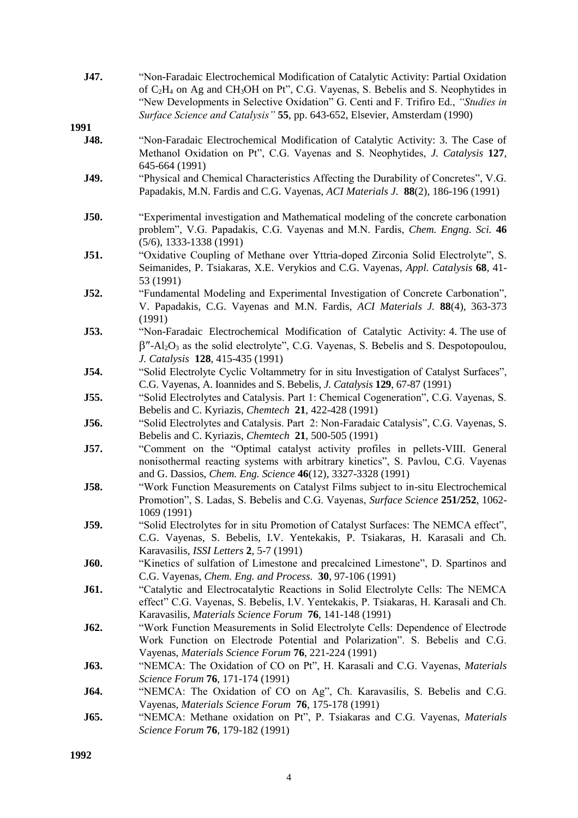| J47.        | "Non-Faradaic Electrochemical Modification of Catalytic Activity: Partial Oxidation<br>of C <sub>2</sub> H <sub>4</sub> on Ag and CH <sub>3</sub> OH on Pt", C.G. Vayenas, S. Bebelis and S. Neophytides in<br>"New Developments in Selective Oxidation" G. Centi and F. Trifiro Ed., "Studies in<br>Surface Science and Catalysis" 55, pp. 643-652, Elsevier, Amsterdam (1990) |
|-------------|---------------------------------------------------------------------------------------------------------------------------------------------------------------------------------------------------------------------------------------------------------------------------------------------------------------------------------------------------------------------------------|
| 1991        |                                                                                                                                                                                                                                                                                                                                                                                 |
| J48.        | "Non-Faradaic Electrochemical Modification of Catalytic Activity: 3. The Case of<br>Methanol Oxidation on Pt", C.G. Vayenas and S. Neophytides, J. Catalysis 127,<br>645-664 (1991)                                                                                                                                                                                             |
| J49.        | "Physical and Chemical Characteristics Affecting the Durability of Concretes", V.G.<br>Papadakis, M.N. Fardis and C.G. Vayenas, ACI Materials J. 88(2), 186-196 (1991)                                                                                                                                                                                                          |
| J50.        | "Experimental investigation and Mathematical modeling of the concrete carbonation<br>problem", V.G. Papadakis, C.G. Vayenas and M.N. Fardis, Chem. Engng. Sci. 46<br>$(5/6)$ , 1333-1338 (1991)                                                                                                                                                                                 |
| J51.        | "Oxidative Coupling of Methane over Yttria-doped Zirconia Solid Electrolyte", S.<br>Seimanides, P. Tsiakaras, X.E. Verykios and C.G. Vayenas, Appl. Catalysis 68, 41-<br>53 (1991)                                                                                                                                                                                              |
| J52.        | "Fundamental Modeling and Experimental Investigation of Concrete Carbonation",<br>V. Papadakis, C.G. Vayenas and M.N. Fardis, ACI Materials J. 88(4), 363-373<br>(1991)                                                                                                                                                                                                         |
| J53.        | "Non-Faradaic Electrochemical Modification of Catalytic Activity: 4. The use of<br>$\beta''$ -Al <sub>2</sub> O <sub>3</sub> as the solid electrolyte", C.G. Vayenas, S. Bebelis and S. Despotopoulou,<br>J. Catalysis 128, 415-435 (1991)                                                                                                                                      |
| J54.        | "Solid Electrolyte Cyclic Voltammetry for in situ Investigation of Catalyst Surfaces",<br>C.G. Vayenas, A. Ioannides and S. Bebelis, J. Catalysis 129, 67-87 (1991)                                                                                                                                                                                                             |
| J55.        | "Solid Electrolytes and Catalysis. Part 1: Chemical Cogeneration", C.G. Vayenas, S.<br>Bebelis and C. Kyriazis, Chemtech 21, 422-428 (1991)                                                                                                                                                                                                                                     |
| J56.        | "Solid Electrolytes and Catalysis. Part 2: Non-Faradaic Catalysis", C.G. Vayenas, S.<br>Bebelis and C. Kyriazis, Chemtech 21, 500-505 (1991)                                                                                                                                                                                                                                    |
| J57.        | "Comment on the "Optimal catalyst activity profiles in pellets-VIII. General<br>nonisothermal reacting systems with arbitrary kinetics", S. Pavlou, C.G. Vayenas<br>and G. Dassios, Chem. Eng. Science 46(12), 3327-3328 (1991)                                                                                                                                                 |
| J58.        | "Work Function Measurements on Catalyst Films subject to in-situ Electrochemical<br>Promotion", S. Ladas, S. Bebelis and C.G. Vayenas, Surface Science 251/252, 1062-<br>1069 (1991)                                                                                                                                                                                            |
| J59.        | "Solid Electrolytes for in situ Promotion of Catalyst Surfaces: The NEMCA effect",<br>C.G. Vayenas, S. Bebelis, I.V. Yentekakis, P. Tsiakaras, H. Karasali and Ch.<br>Karavasilis, <i>ISSI Letters</i> 2, 5-7 (1991)                                                                                                                                                            |
| <b>J60.</b> | "Kinetics of sulfation of Limestone and precalcined Limestone", D. Spartinos and<br>C.G. Vayenas, Chem. Eng. and Process. 30, 97-106 (1991)                                                                                                                                                                                                                                     |
| J61.        | "Catalytic and Electrocatalytic Reactions in Solid Electrolyte Cells: The NEMCA<br>effect" C.G. Vayenas, S. Bebelis, I.V. Yentekakis, P. Tsiakaras, H. Karasali and Ch.<br>Karavasilis, Materials Science Forum 76, 141-148 (1991)                                                                                                                                              |
| J62.        | "Work Function Measurements in Solid Electrolyte Cells: Dependence of Electrode<br>Work Function on Electrode Potential and Polarization". S. Bebelis and C.G.<br>Vayenas, Materials Science Forum 76, 221-224 (1991)                                                                                                                                                           |
| J63.        | "NEMCA: The Oxidation of CO on Pt", H. Karasali and C.G. Vayenas, Materials<br>Science Forum 76, 171-174 (1991)                                                                                                                                                                                                                                                                 |
| J64.        | "NEMCA: The Oxidation of CO on Ag", Ch. Karavasilis, S. Bebelis and C.G.<br>Vayenas, Materials Science Forum 76, 175-178 (1991)                                                                                                                                                                                                                                                 |
| J65.        | "NEMCA: Methane oxidation on Pt", P. Tsiakaras and C.G. Vayenas, Materials<br>Science Forum 76, 179-182 (1991)                                                                                                                                                                                                                                                                  |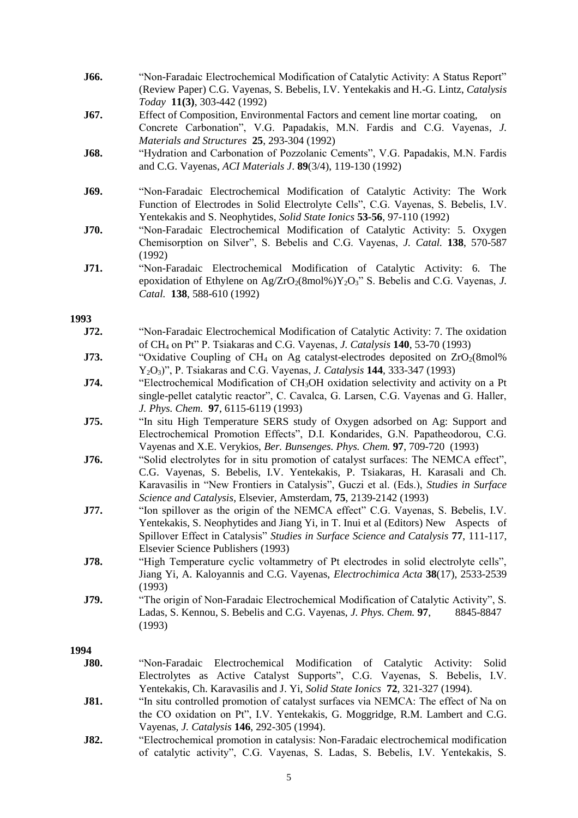| J66.        | "Non-Faradaic Electrochemical Modification of Catalytic Activity: A Status Report"<br>(Review Paper) C.G. Vayenas, S. Bebelis, I.V. Yentekakis and H.-G. Lintz, Catalysis                                                                                                                                                      |
|-------------|--------------------------------------------------------------------------------------------------------------------------------------------------------------------------------------------------------------------------------------------------------------------------------------------------------------------------------|
| J67.        | Today 11(3), 303-442 (1992)<br>Effect of Composition, Environmental Factors and cement line mortar coating,<br>on<br>Concrete Carbonation", V.G. Papadakis, M.N. Fardis and C.G. Vayenas, J.                                                                                                                                   |
| J68.        | Materials and Structures 25, 293-304 (1992)<br>"Hydration and Carbonation of Pozzolanic Cements", V.G. Papadakis, M.N. Fardis<br>and C.G. Vayenas, ACI Materials J. 89(3/4), 119-130 (1992)                                                                                                                                    |
| J69.        | "Non-Faradaic Electrochemical Modification of Catalytic Activity: The Work<br>Function of Electrodes in Solid Electrolyte Cells", C.G. Vayenas, S. Bebelis, I.V.<br>Yentekakis and S. Neophytides, Solid State Ionics 53-56, 97-110 (1992)                                                                                     |
| J70.        | "Non-Faradaic Electrochemical Modification of Catalytic Activity: 5. Oxygen<br>Chemisorption on Silver", S. Bebelis and C.G. Vayenas, J. Catal. 138, 570-587<br>(1992)                                                                                                                                                         |
| J71.        | "Non-Faradaic Electrochemical Modification of Catalytic Activity: 6. The<br>epoxidation of Ethylene on Ag/ZrO <sub>2</sub> (8mol%)Y <sub>2</sub> O <sub>3</sub> " S. Bebelis and C.G. Vayenas, J.<br>Catal. 138, 588-610 (1992)                                                                                                |
| 1993        |                                                                                                                                                                                                                                                                                                                                |
| J72.        | "Non-Faradaic Electrochemical Modification of Catalytic Activity: 7. The oxidation<br>of CH <sub>4</sub> on Pt" P. Tsiakaras and C.G. Vayenas, <i>J. Catalysis</i> 140, 53-70 (1993)                                                                                                                                           |
| J73.        | "Oxidative Coupling of CH <sub>4</sub> on Ag catalyst-electrodes deposited on $ZrO2(8mol)\%$<br>$Y_2O_3$ ", P. Tsiakaras and C.G. Vayenas, <i>J. Catalysis</i> <b>144</b> , 333-347 (1993)                                                                                                                                     |
| J74.        | "Electrochemical Modification of CH <sub>3</sub> OH oxidation selectivity and activity on a Pt<br>single-pellet catalytic reactor", C. Cavalca, G. Larsen, C.G. Vayenas and G. Haller,<br>J. Phys. Chem. 97, 6115-6119 (1993)                                                                                                  |
| J75.        | "In situ High Temperature SERS study of Oxygen adsorbed on Ag: Support and<br>Electrochemical Promotion Effects", D.I. Kondarides, G.N. Papatheodorou, C.G.<br>Vayenas and X.E. Verykios, Ber. Bunsenges. Phys. Chem. 97, 709-720 (1993)                                                                                       |
| J76.        | "Solid electrolytes for in situ promotion of catalyst surfaces: The NEMCA effect",<br>C.G. Vayenas, S. Bebelis, I.V. Yentekakis, P. Tsiakaras, H. Karasali and Ch.<br>Karavasilis in "New Frontiers in Catalysis", Guczi et al. (Eds.), Studies in Surface<br>Science and Catalysis, Elsevier, Amsterdam, 75, 2139-2142 (1993) |
| J77.        | "Ion spillover as the origin of the NEMCA effect" C.G. Vayenas, S. Bebelis, I.V.<br>Yentekakis, S. Neophytides and Jiang Yi, in T. Inui et al (Editors) New Aspects of<br>Spillover Effect in Catalysis" Studies in Surface Science and Catalysis 77, 111-117,<br>Elsevier Science Publishers (1993)                           |
| J78.        | "High Temperature cyclic voltammetry of Pt electrodes in solid electrolyte cells",<br>Jiang Yi, A. Kaloyannis and C.G. Vayenas, <i>Electrochimica Acta</i> 38(17), 2533-2539<br>(1993)                                                                                                                                         |
| J79.        | "The origin of Non-Faradaic Electrochemical Modification of Catalytic Activity", S.<br>Ladas, S. Kennou, S. Bebelis and C.G. Vayenas, J. Phys. Chem. 97,<br>8845-8847<br>(1993)                                                                                                                                                |
| 1994        |                                                                                                                                                                                                                                                                                                                                |
| <b>J80.</b> | "Non-Faradaic<br>Electrochemical<br>Modification of Catalytic<br>Solid<br>Activity:<br>Electrolytes as Active Catalyst Supports", C.G. Vayenas, S. Bebelis, I.V.<br>Yentekakis, Ch. Karavasilis and J. Yi, Solid State Ionics 72, 321-327 (1994).                                                                              |
| J81.        | "In situ controlled promotion of catalyst surfaces via NEMCA: The effect of Na on<br>the CO oxidation on Pt", I.V. Yentekakis, G. Moggridge, R.M. Lambert and C.G.<br>Vayenas, J. Catalysis 146, 292-305 (1994).                                                                                                               |
| J82.        | "Electrochemical promotion in catalysis: Non-Faradaic electrochemical modification<br>of catalytic activity", C.G. Vayenas, S. Ladas, S. Bebelis, I.V. Yentekakis, S.                                                                                                                                                          |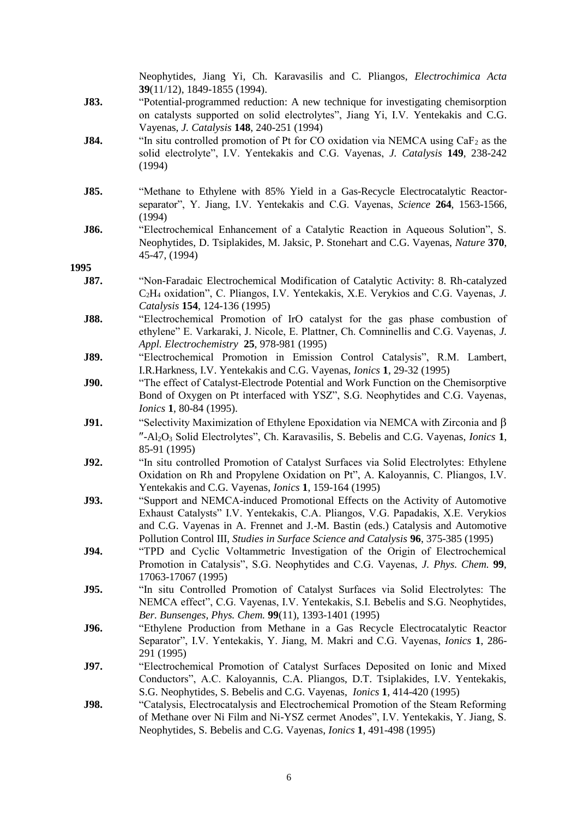|      | Neophytides, Jiang Yi, Ch. Karavasilis and C. Pliangos, <i>Electrochimica Acta</i><br>39(11/12), 1849-1855 (1994).                                                                                                                                                        |
|------|---------------------------------------------------------------------------------------------------------------------------------------------------------------------------------------------------------------------------------------------------------------------------|
| J83. | "Potential-programmed reduction: A new technique for investigating chemisorption<br>on catalysts supported on solid electrolytes", Jiang Yi, I.V. Yentekakis and C.G.<br>Vayenas, <i>J. Catalysis</i> 148, 240-251 (1994)                                                 |
| J84. | "In situ controlled promotion of Pt for CO oxidation via NEMCA using $CaF2$ as the<br>solid electrolyte", I.V. Yentekakis and C.G. Vayenas, J. Catalysis 149, 238-242<br>(1994)                                                                                           |
| J85. | "Methane to Ethylene with 85% Yield in a Gas-Recycle Electrocatalytic Reactor-<br>separator", Y. Jiang, I.V. Yentekakis and C.G. Vayenas, Science 264, 1563-1566,<br>(1994)                                                                                               |
| J86. | "Electrochemical Enhancement of a Catalytic Reaction in Aqueous Solution", S.<br>Neophytides, D. Tsiplakides, M. Jaksic, P. Stonehart and C.G. Vayenas, Nature 370,<br>45-47, (1994)                                                                                      |
| 1995 |                                                                                                                                                                                                                                                                           |
| J87. | "Non-Faradaic Electrochemical Modification of Catalytic Activity: 8. Rh-catalyzed<br>C <sub>2</sub> H <sub>4</sub> oxidation", C. Pliangos, I.V. Yentekakis, X.E. Verykios and C.G. Vayenas, J.<br>Catalysis 154, 124-136 (1995)                                          |
| J88. | "Electrochemical Promotion of IrO catalyst for the gas phase combustion of<br>ethylene" E. Varkaraki, J. Nicole, E. Plattner, Ch. Comninellis and C.G. Vayenas, J.<br>Appl. Electrochemistry 25, 978-981 (1995)                                                           |
| J89. | "Electrochemical Promotion in Emission Control Catalysis", R.M. Lambert,<br>I.R.Harkness, I.V. Yentekakis and C.G. Vayenas, <i>Ionics</i> 1, 29-32 (1995)                                                                                                                 |
| J90. | "The effect of Catalyst-Electrode Potential and Work Function on the Chemisorptive<br>Bond of Oxygen on Pt interfaced with YSZ", S.G. Neophytides and C.G. Vayenas,<br>Ionics 1, 80-84 (1995).                                                                            |
| J91. | "Selectivity Maximization of Ethylene Epoxidation via NEMCA with Zirconia and $\beta$<br>"-Al <sub>2</sub> O <sub>3</sub> Solid Electrolytes", Ch. Karavasilis, S. Bebelis and C.G. Vayenas, <i>Ionics</i> 1,<br>85-91 (1995)                                             |
| J92. | "In situ controlled Promotion of Catalyst Surfaces via Solid Electrolytes: Ethylene<br>Oxidation on Rh and Propylene Oxidation on Pt", A. Kaloyannis, C. Pliangos, I.V.<br>Yentekakis and C.G. Vayenas, <i>Ionics</i> 1, 159-164 (1995)                                   |
| J93. | "Support and NEMCA-induced Promotional Effects on the Activity of Automotive<br>Exhaust Catalysts" I.V. Yentekakis, C.A. Pliangos, V.G. Papadakis, X.E. Verykios<br>and C.G. Vayenas in A. Frennet and J.-M. Bastin (eds.) Catalysis and Automotive                       |
| J94. | Pollution Control III, Studies in Surface Science and Catalysis 96, 375-385 (1995)<br>"TPD and Cyclic Voltammetric Investigation of the Origin of Electrochemical<br>Promotion in Catalysis", S.G. Neophytides and C.G. Vayenas, J. Phys. Chem. 99,<br>17063-17067 (1995) |
| J95. | "In situ Controlled Promotion of Catalyst Surfaces via Solid Electrolytes: The<br>NEMCA effect", C.G. Vayenas, I.V. Yentekakis, S.I. Bebelis and S.G. Neophytides,<br>Ber. Bunsenges, Phys. Chem. 99(11), 1393-1401 (1995)                                                |
| J96. | "Ethylene Production from Methane in a Gas Recycle Electrocatalytic Reactor<br>Separator", I.V. Yentekakis, Y. Jiang, M. Makri and C.G. Vayenas, Ionics 1, 286-<br>291 (1995)                                                                                             |
| J97. | "Electrochemical Promotion of Catalyst Surfaces Deposited on Ionic and Mixed<br>Conductors", A.C. Kaloyannis, C.A. Pliangos, D.T. Tsiplakides, I.V. Yentekakis,<br>S.G. Neophytides, S. Bebelis and C.G. Vayenas, <i>Ionics</i> 1, 414-420 (1995)                         |
| J98. | "Catalysis, Electrocatalysis and Electrochemical Promotion of the Steam Reforming<br>of Methane over Ni Film and Ni-YSZ cermet Anodes", I.V. Yentekakis, Y. Jiang, S.<br>Neophytides, S. Bebelis and C.G. Vayenas, <i>Ionics</i> 1, 491-498 (1995)                        |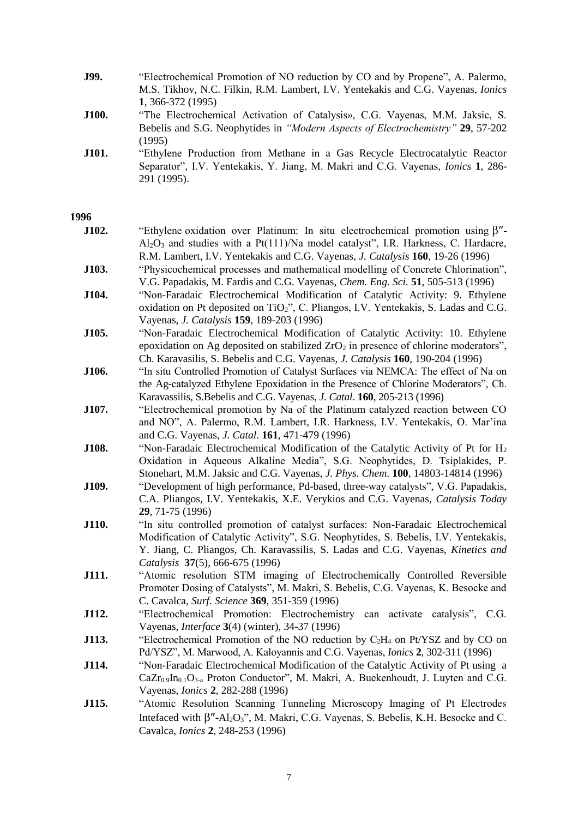| J99. | "Electrochemical Promotion of NO reduction by CO and by Propene", A. Palermo,           |
|------|-----------------------------------------------------------------------------------------|
|      | M.S. Tikhov, N.C. Filkin, R.M. Lambert, I.V. Yentekakis and C.G. Vayenas, <i>Ionics</i> |
|      | $1.366 - 372(1995)$                                                                     |

- **J100.** "The Electrochemical Activation of Catalysis», C.G. Vayenas, M.M. Jaksic, S. Bebelis and S.G. Neophytides in *"Modern Aspects of Electrochemistry"* **29**, 57-202 (1995)
- **J101.** "Ethylene Production from Methane in a Gas Recycle Electrocatalytic Reactor Separator", I.V. Yentekakis, Y. Jiang, M. Makri and C.G. Vayenas, *Ionics* **1**, 286- 291 (1995).

| J102. | "Ethylene oxidation over Platinum: In situ electrochemical promotion using $\beta$ "-<br>$Al_2O_3$ and studies with a Pt(111)/Na model catalyst", I.R. Harkness, C. Hardacre,<br>R.M. Lambert, I.V. Yentekakis and C.G. Vayenas, J. Catalysis 160, 19-26 (1996)                                |
|-------|------------------------------------------------------------------------------------------------------------------------------------------------------------------------------------------------------------------------------------------------------------------------------------------------|
| J103. | "Physicochemical processes and mathematical modelling of Concrete Chlorination",<br>V.G. Papadakis, M. Fardis and C.G. Vayenas, <i>Chem. Eng. Sci.</i> 51, 505-513 (1996)                                                                                                                      |
| J104. | "Non-Faradaic Electrochemical Modification of Catalytic Activity: 9. Ethylene<br>oxidation on Pt deposited on TiO <sub>2</sub> ", C. Pliangos, I.V. Yentekakis, S. Ladas and C.G.<br>Vayenas, <i>J. Catalysis</i> 159, 189-203 (1996)                                                          |
| J105. | "Non-Faradaic Electrochemical Modification of Catalytic Activity: 10. Ethylene<br>epoxidation on Ag deposited on stabilized $ZrO2$ in presence of chlorine moderators",<br>Ch. Karavasilis, S. Bebelis and C.G. Vayenas, J. Catalysis 160, 190-204 (1996)                                      |
| J106. | "In situ Controlled Promotion of Catalyst Surfaces via NEMCA: The effect of Na on<br>the Ag-catalyzed Ethylene Epoxidation in the Presence of Chlorine Moderators", Ch.<br>Karavassilis, S.Bebelis and C.G. Vayenas, J. Catal. 160, 205-213 (1996)                                             |
| J107. | "Electrochemical promotion by Na of the Platinum catalyzed reaction between CO<br>and NO", A. Palermo, R.M. Lambert, I.R. Harkness, I.V. Yentekakis, O. Mar'ina<br>and C.G. Vayenas, J. Catal. 161, 471-479 (1996)                                                                             |
| J108. | "Non-Faradaic Electrochemical Modification of the Catalytic Activity of Pt for $H_2$<br>Oxidation in Aqueous Alkaline Media", S.G. Neophytides, D. Tsiplakides, P.<br>Stonehart, M.M. Jaksic and C.G. Vayenas, J. Phys. Chem. 100, 14803-14814 (1996)                                          |
| J109. | "Development of high performance, Pd-based, three-way catalysts", V.G. Papadakis,<br>C.A. Pliangos, I.V. Yentekakis, X.E. Verykios and C.G. Vayenas, Catalysis Today<br>29, 71-75 (1996)                                                                                                       |
| J110. | "In situ controlled promotion of catalyst surfaces: Non-Faradaic Electrochemical<br>Modification of Catalytic Activity", S.G. Neophytides, S. Bebelis, I.V. Yentekakis,<br>Y. Jiang, C. Pliangos, Ch. Karavassilis, S. Ladas and C.G. Vayenas, Kinetics and<br>Catalysis 37(5), 666-675 (1996) |
| J111. | "Atomic resolution STM imaging of Electrochemically Controlled Reversible<br>Promoter Dosing of Catalysts", M. Makri, S. Bebelis, C.G. Vayenas, K. Besocke and<br>C. Cavalca, Surf. Science 369, 351-359 (1996)                                                                                |
| J112. | "Electrochemical Promotion: Electrochemistry can activate catalysis", C.G.<br>Vayenas, <i>Interface</i> 3(4) (winter), 34-37 (1996)                                                                                                                                                            |
| J113. | "Electrochemical Promotion of the NO reduction by $C_2H_4$ on Pt/YSZ and by CO on<br>Pd/YSZ", M. Marwood, A. Kaloyannis and C.G. Vayenas, <i>Ionics</i> 2, 302-311 (1996)                                                                                                                      |
| J114. | "Non-Faradaic Electrochemical Modification of the Catalytic Activity of Pt using a<br>$CaZr_{0.9}In_{0.1}O_{3-a}$ Proton Conductor", M. Makri, A. Buekenhoudt, J. Luyten and C.G.<br>Vayenas, <i>Ionics</i> 2, 282-288 (1996)                                                                  |
| J115. | "Atomic Resolution Scanning Tunneling Microscopy Imaging of Pt Electrodes<br>Interfaced with $\beta''$ -Al <sub>2</sub> O <sub>3</sub> ", M. Makri, C.G. Vayenas, S. Bebelis, K.H. Besocke and C.<br>Cavalca, <i>Ionics</i> 2, 248-253 (1996)                                                  |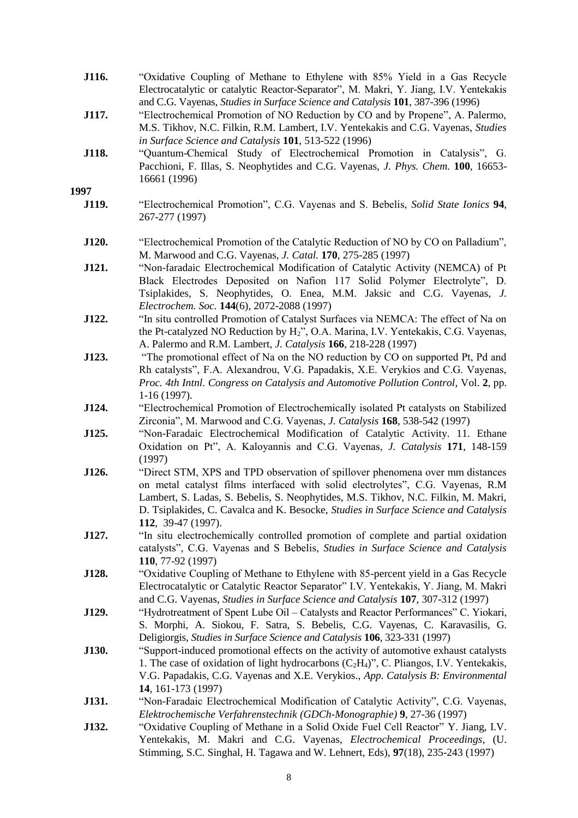| J116.        | "Oxidative Coupling of Methane to Ethylene with 85% Yield in a Gas Recycle                    |
|--------------|-----------------------------------------------------------------------------------------------|
|              | Electrocatalytic or catalytic Reactor-Separator", M. Makri, Y. Jiang, I.V. Yentekakis         |
|              | and C.G. Vayenas, <i>Studies in Surface Science and Catalysis</i> <b>101</b> , 387-396 (1996) |
| <b>J117.</b> | "Electrochemical Promotion of NO Reduction by CO and by Propene", A. Palermo,                 |
|              | M.S. Tikhov, N.C. Filkin, R.M. Lambert, I.V. Yentekakis and C.G. Vayenas, <i>Studies</i>      |
|              | in Surface Science and Catalysis 101, 513-522 (1996)                                          |

**J118.** "Quantum-Chemical Study of Electrochemical Promotion in Catalysis", G. Pacchioni, F. Illas, S. Neophytides and C.G. Vayenas, *J. Phys. Chem.* **100**, 16653- 16661 (1996)

- **J119.** "Electrochemical Promotion", C.G. Vayenas and S. Bebelis, *Solid State Ionics* **94**, 267-277 (1997)
- **J120.** "Electrochemical Promotion of the Catalytic Reduction of NO by CO on Palladium", M. Marwood and C.G. Vayenas, *J. Catal.* **170**, 275-285 (1997)
- **J121.** "Non-faradaic Electrochemical Modification of Catalytic Activity (NEMCA) of Pt Black Electrodes Deposited on Nafion 117 Solid Polymer Electrolyte", D. Tsiplakides, S. Neophytides, O. Enea, M.M. Jaksic and C.G. Vayenas, *J. Electrochem. Soc.* **144**(6), 2072-2088 (1997)
- **J122.** "In situ controlled Promotion of Catalyst Surfaces via NEMCA: The effect of Na on the Pt-catalyzed NO Reduction by H2", O.A. Marina, I.V. Yentekakis, C.G. Vayenas, A. Palermo and R.M. Lambert, *J. Catalysis* **166**, 218-228 (1997)
- **J123.** "The promotional effect of Na on the NO reduction by CO on supported Pt, Pd and Rh catalysts", F.A. Alexandrou, V.G. Papadakis, X.E. Verykios and C.G. Vayenas, *Proc. 4th Intnl. Congress on Catalysis and Automotive Pollution Control,* Vol. **2**, pp. 1-16 (1997).
- **J124.** "Electrochemical Promotion of Electrochemically isolated Pt catalysts on Stabilized Zirconia", M. Marwood and C.G. Vayenas, *J. Catalysis* **168**, 538-542 (1997)
- **J125.** "Non-Faradaic Electrochemical Modification of Catalytic Activity. 11. Ethane Oxidation on Pt", A. Kaloyannis and C.G. Vayenas, *J. Catalysis* **171**, 148-159 (1997)
- **J126.** "Direct STM, XPS and TPD observation of spillover phenomena over mm distances on metal catalyst films interfaced with solid electrolytes", C.G. Vayenas, R.M Lambert, S. Ladas, S. Bebelis, S. Neophytides, M.S. Tikhov, N.C. Filkin, M. Makri, D. Tsiplakides, C. Cavalca and K. Besocke, *Studies in Surface Science and Catalysis* **112**, 39-47 (1997).
- **J127.** "In situ electrochemically controlled promotion of complete and partial oxidation catalysts", C.G. Vayenas and S Bebelis, *Studies in Surface Science and Catalysis* **110**, 77-92 (1997)
- **J128.** "Oxidative Coupling of Methane to Ethylene with 85-percent yield in a Gas Recycle Electrocatalytic or Catalytic Reactor Separator" I.V. Yentekakis, Y. Jiang, M. Makri and C.G. Vayenas, *Studies in Surface Science and Catalysis* **107**, 307-312 (1997)
- **J129.** "Hydrotreatment of Spent Lube Oil Catalysts and Reactor Performances" C. Yiokari, S. Morphi, A. Siokou, F. Satra, S. Bebelis, C.G. Vayenas, C. Karavasilis, G. Deligiorgis, *Studies in Surface Science and Catalysis* **106**, 323-331 (1997)
- **J130.** "Support-induced promotional effects on the activity of automotive exhaust catalysts 1. The case of oxidation of light hydrocarbons  $(C_2H_4)$ ", C. Pliangos, I.V. Yentekakis, V.G. Papadakis, C.G. Vayenas and X.E. Verykios., *App. Catalysis B: Environmental* **14**, 161-173 (1997)
- **J131.** "Non-Faradaic Electrochemical Modification of Catalytic Activity", C.G. Vayenas, *Elektrochemische Verfahrenstechnik (GDCh-Monographie)* **9**, 27-36 (1997)
- **J132.** "Oxidative Coupling of Methane in a Solid Oxide Fuel Cell Reactor" Y. Jiang, I.V. Yentekakis, M. Makri and C.G. Vayenas, *Electrochemical Proceedings*, (U. Stimming, S.C. Singhal, H. Tagawa and W. Lehnert, Eds), **97**(18), 235-243 (1997)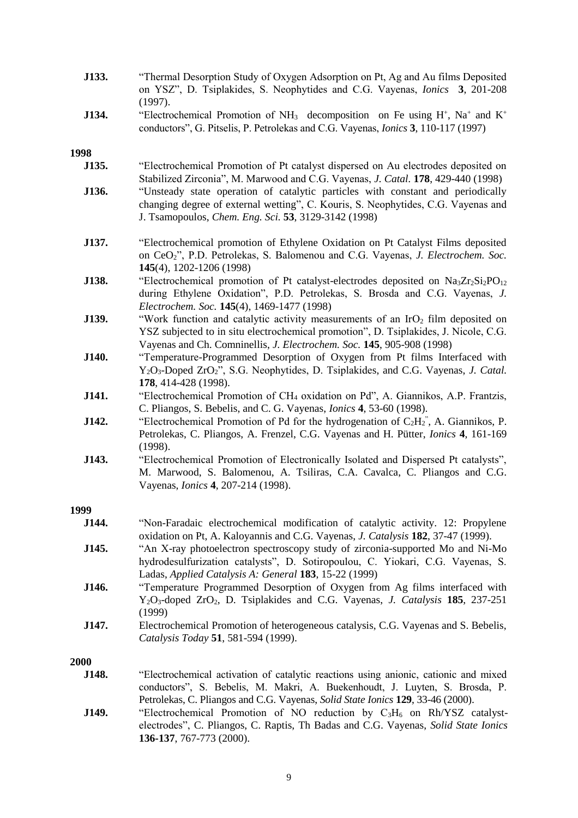| J133. | "Thermal Desorption Study of Oxygen Adsorption on Pt, Ag and Au films Deposited<br>on YSZ", D. Tsiplakides, S. Neophytides and C.G. Vayenas, <i>Ionics</i> 3, 201-208<br>(1997).                                                                             |
|-------|--------------------------------------------------------------------------------------------------------------------------------------------------------------------------------------------------------------------------------------------------------------|
| J134. | "Electrochemical Promotion of NH <sub>3</sub> decomposition on Fe using H <sup>+</sup> , Na <sup>+</sup> and K <sup>+</sup><br>conductors", G. Pitselis, P. Petrolekas and C.G. Vayenas, <i>Ionics</i> 3, 110-117 (1997)                                     |
| 1998  |                                                                                                                                                                                                                                                              |
| J135. | "Electrochemical Promotion of Pt catalyst dispersed on Au electrodes deposited on<br>Stabilized Zirconia", M. Marwood and C.G. Vayenas, J. Catal. 178, 429-440 (1998)                                                                                        |
| J136. | "Unsteady state operation of catalytic particles with constant and periodically<br>changing degree of external wetting", C. Kouris, S. Neophytides, C.G. Vayenas and<br>J. Tsamopoulos, Chem. Eng. Sci. 53, 3129-3142 (1998)                                 |
| J137. | "Electrochemical promotion of Ethylene Oxidation on Pt Catalyst Films deposited<br>on CeO <sub>2</sub> ", P.D. Petrolekas, S. Balomenou and C.G. Vayenas, J. Electrochem. Soc.<br>145(4), 1202-1206 (1998)                                                   |
| J138. | "Electrochemical promotion of Pt catalyst-electrodes deposited on $Na_3Zr_2Si_2PO_{12}$<br>during Ethylene Oxidation", P.D. Petrolekas, S. Brosda and C.G. Vayenas, J.<br>Electrochem. Soc. 145(4), 1469-1477 (1998)                                         |
| J139. | "Work function and catalytic activity measurements of an IrO <sub>2</sub> film deposited on<br>YSZ subjected to in situ electrochemical promotion", D. Tsiplakides, J. Nicole, C.G.<br>Vayenas and Ch. Comninellis, J. Electrochem. Soc. 145, 905-908 (1998) |
| J140. | "Temperature-Programmed Desorption of Oxygen from Pt films Interfaced with<br>Y <sub>2</sub> O <sub>3</sub> -Doped ZrO <sub>2</sub> ", S.G. Neophytides, D. Tsiplakides, and C.G. Vayenas, J. Catal.<br>178, 414-428 (1998).                                 |
| J141. | "Electrochemical Promotion of CH <sub>4</sub> oxidation on Pd", A. Giannikos, A.P. Frantzis,<br>C. Pliangos, S. Bebelis, and C. G. Vayenas, <i>Ionics</i> 4, 53-60 (1998).                                                                                   |
| J142. | "Electrochemical Promotion of Pd for the hydrogenation of $C_2H_2$ ", A. Giannikos, P.<br>Petrolekas, C. Pliangos, A. Frenzel, C.G. Vayenas and H. Pütter, <i>Ionics</i> 4, 161-169<br>(1998).                                                               |
| J143. | "Electrochemical Promotion of Electronically Isolated and Dispersed Pt catalysts",<br>M. Marwood, S. Balomenou, A. Tsiliras, C.A. Cavalca, C. Pliangos and C.G.<br>Vayenas, <i>Ionics</i> 4, 207-214 (1998).                                                 |
| 1999  |                                                                                                                                                                                                                                                              |
| J144. | "Non-Faradaic electrochemical modification of catalytic activity. 12: Propylene<br>oxidation on Pt, A. Kaloyannis and C.G. Vayenas, J. Catalysis 182, 37-47 (1999).                                                                                          |
| J145. | "An X-ray photoelectron spectroscopy study of zirconia-supported Mo and Ni-Mo<br>hydrodesulfurization catalysts", D. Sotiropoulou, C. Yiokari, C.G. Vayenas, S.<br>Ladas, Applied Catalysis A: General 183, 15-22 (1999)                                     |
| J146. | "Temperature Programmed Desorption of Oxygen from Ag films interfaced with<br>Y <sub>2</sub> O <sub>3</sub> -doped ZrO <sub>2</sub> , D. Tsiplakides and C.G. Vayenas, J. Catalysis 185, 237-251<br>(1999)                                                   |
| J147. | Electrochemical Promotion of heterogeneous catalysis, C.G. Vayenas and S. Bebelis,<br>Catalysis Today 51, 581-594 (1999).                                                                                                                                    |
| 2000  |                                                                                                                                                                                                                                                              |
| J148. | "Electrochemical activation of catalytic reactions using anionic, cationic and mixed<br>conductors", S. Bebelis, M. Makri, A. Buekenhoudt, J. Luyten, S. Brosda, P.<br>Petrolekas, C. Pliangos and C.G. Vayenas, Solid State Ionics 129, 33-46 (2000).       |
| J149. | "Electrochemical Promotion of NO reduction by C <sub>3</sub> H <sub>6</sub> on Rh/YSZ catalyst-<br>electrodes", C. Pliangos, C. Raptis, Th Badas and C.G. Vayenas, Solid State Ionics<br>136-137, 767-773 (2000).                                            |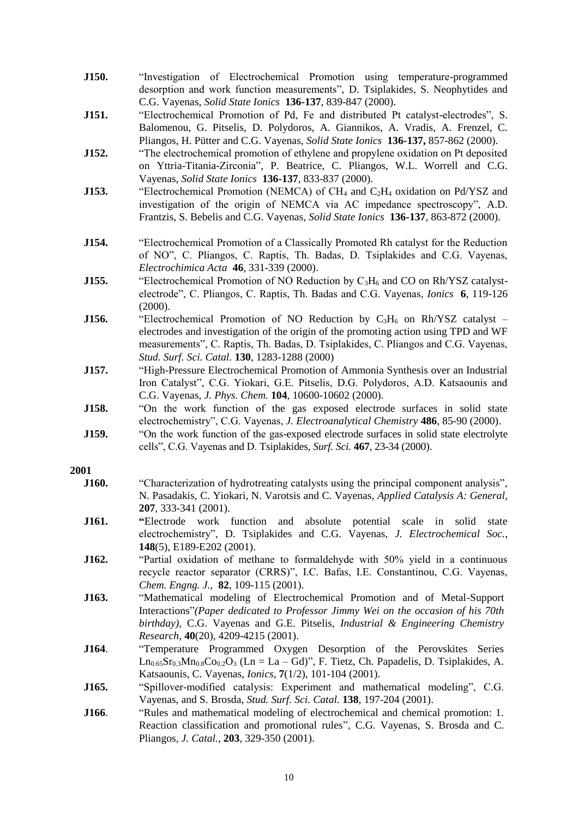- **J150.** "Investigation of Electrochemical Promotion using temperature-programmed desorption and work function measurements", D. Tsiplakides, S. Neophytides and C.G. Vayenas, *Solid State Ionics* **136-137**, 839-847 (2000).
- **J151.** "Electrochemical Promotion of Pd, Fe and distributed Pt catalyst-electrodes", S. Balomenou, G. Pitselis, D. Polydoros, A. Giannikos, A. Vradis, A. Frenzel, C. Pliangos, H. Pütter and C.G. Vayenas, *Solid State Ionics* **136-137,** 857-862 (2000).
- **J152.** "The electrochemical promotion of ethylene and propylene oxidation on Pt deposited on Yttria-Titania-Zirconia", P. Beatrice, C. Pliangos, W.L. Worrell and C.G. Vayenas, *Solid State Ionics* **136-137**, 833-837 (2000).
- **J153.** "Electrochemical Promotion (NEMCA) of CH<sub>4</sub> and C<sub>2</sub>H<sub>4</sub> oxidation on Pd/YSZ and investigation of the origin of NEMCA via AC impedance spectroscopy", A.D. Frantzis, S. Bebelis and C.G. Vayenas, *Solid State Ionics* **136-137**, 863-872 (2000).
- **J154.** "Electrochemical Promotion of a Classically Promoted Rh catalyst for the Reduction of NO", C. Pliangos, C. Raptis, Th. Badas, D. Tsiplakides and C.G. Vayenas, *Electrochimica Acta* **46**, 331-339 (2000).
- **J155.** "Electrochemical Promotion of NO Reduction by C<sub>3</sub>H<sub>6</sub> and CO on Rh/YSZ catalystelectrode", C. Pliangos, C. Raptis, Th. Badas and C.G. Vayenas, *Ionics* **6**, 119-126 (2000).
- **J156.** "Electrochemical Promotion of NO Reduction by C<sub>3</sub>H<sub>6</sub> on Rh/YSZ catalyst electrodes and investigation of the origin of the promoting action using TPD and WF measurements", C. Raptis, Th. Badas, D. Tsiplakides, C. Pliangos and C.G. Vayenas, *Stud. Surf. Sci. Catal.* **130**, 1283-1288 (2000)
- **J157.** "High-Pressure Electrochemical Promotion of Ammonia Synthesis over an Industrial Iron Catalyst", C.G. Yiokari, G.E. Pitselis, D.G. Polydoros, A.D. Katsaounis and C.G. Vayenas, *J. Phys. Chem.* **104**, 10600-10602 (2000).
- **J158.** "On the work function of the gas exposed electrode surfaces in solid state electrochemistry", C.G. Vayenas, *J. Electroanalytical Chemistry* **486**, 85-90 (2000).
- **J159.** "On the work function of the gas-exposed electrode surfaces in solid state electrolyte cells", C.G. Vayenas and D. Tsiplakides, *Surf. Sci.* **467**, 23-34 (2000).

- **J160.** "Characterization of hydrotreating catalysts using the principal component analysis", N. Pasadakis, C. Yiokari, N. Varotsis and C. Vayenas, *Applied Catalysis A: General,*  **207**, 333-341 (2001).
- **J161. "**Electrode work function and absolute potential scale in solid state electrochemistry", D. Tsiplakides and C.G. Vayenas, *J. Electrochemical Soc.*, **148**(5), E189-E202 (2001).
- **J162.** "Partial oxidation of methane to formaldehyde with 50% yield in a continuous recycle reactor separator (CRRS)", I.C. Bafas, I.E. Constantinou, C.G. Vayenas, *Chem. Engng. J.,* **82**, 109-115 (2001).
- **J163.** "Mathematical modeling of Electrochemical Promotion and of Metal-Support Interactions"*(Paper dedicated to Professor Jimmy Wei on the occasion of his 70th birthday),* C.G. Vayenas and G.E. Pitselis, *Industrial & Engineering Chemistry Research*, **40**(20), 4209-4215 (2001).
- **J164**. "Temperature Programmed Oxygen Desorption of the Perovskites Series  $Ln_{0.65}Sr_{0.3}Mn_{0.8}Co_{0.2}O_3$  (Ln = La – Gd)", F. Tietz, Ch. Papadelis, D. Tsiplakides, A. Katsaounis, C. Vayenas, *Ionics*, **7**(1/2), 101-104 (2001).
- **J165.** "Spillover-modified catalysis: Experiment and mathematical modeling", C.G. Vayenas, and S. Brosda, *Stud. Surf. Sci. Catal.* **138**, 197-204 (2001).
- **J166.** "Rules and mathematical modeling of electrochemical and chemical promotion: 1. Reaction classification and promotional rules", C.G. Vayenas, S. Brosda and C. Pliangos, *J. Catal.*, **203**, 329-350 (2001).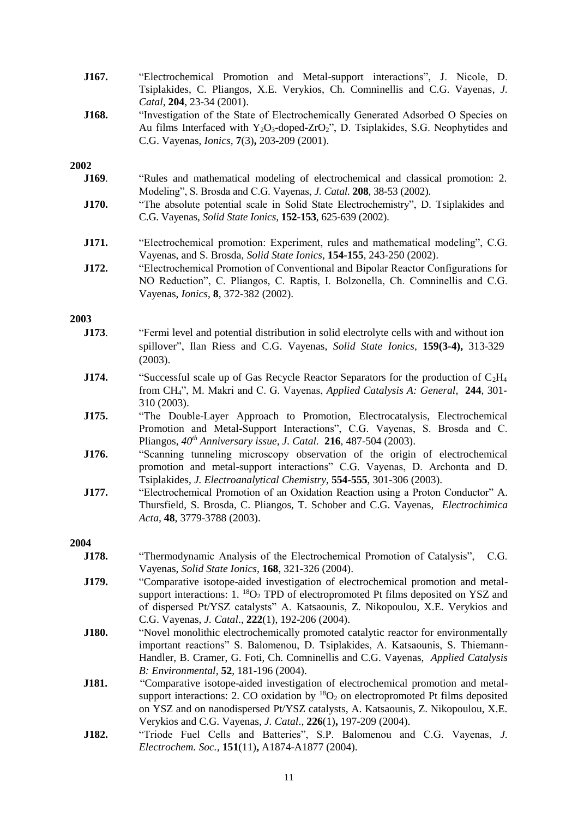| J167. | "Electrochemical Promotion and Metal-support interactions", J. Nicole, D.<br>Tsiplakides, C. Pliangos, X.E. Verykios, Ch. Comninellis and C.G. Vayenas, J.<br>Catal, 204, 23-34 (2001).                                                                                                                                              |
|-------|--------------------------------------------------------------------------------------------------------------------------------------------------------------------------------------------------------------------------------------------------------------------------------------------------------------------------------------|
| J168. | "Investigation of the State of Electrochemically Generated Adsorbed O Species on<br>Au films Interfaced with $Y_2O_3$ -doped-ZrO <sub>2</sub> ", D. Tsiplakides, S.G. Neophytides and<br>C.G. Vayenas, <i>Ionics</i> , <b>7</b> (3), 203-209 (2001).                                                                                 |
| 2002  |                                                                                                                                                                                                                                                                                                                                      |
| J169. | "Rules and mathematical modeling of electrochemical and classical promotion: 2.<br>Modeling", S. Brosda and C.G. Vayenas, J. Catal. 208, 38-53 (2002).                                                                                                                                                                               |
| J170. | "The absolute potential scale in Solid State Electrochemistry", D. Tsiplakides and<br>C.G. Vayenas, Solid State Ionics, 152-153, 625-639 (2002).                                                                                                                                                                                     |
| J171. | "Electrochemical promotion: Experiment, rules and mathematical modeling", C.G.<br>Vayenas, and S. Brosda, Solid State Ionics, 154-155, 243-250 (2002).                                                                                                                                                                               |
| J172. | "Electrochemical Promotion of Conventional and Bipolar Reactor Configurations for<br>NO Reduction", C. Pliangos, C. Raptis, I. Bolzonella, Ch. Comninellis and C.G.<br>Vayenas, <i>Ionics</i> , 8, 372-382 (2002).                                                                                                                   |
| 2003  |                                                                                                                                                                                                                                                                                                                                      |
| J173. | "Fermi level and potential distribution in solid electrolyte cells with and without ion<br>spillover", Ilan Riess and C.G. Vayenas, Solid State Ionics, 159(3-4), 313-329<br>(2003).                                                                                                                                                 |
| J174. | "Successful scale up of Gas Recycle Reactor Separators for the production of $C_2H_4$<br>from CH <sub>4</sub> ", M. Makri and C. G. Vayenas, Applied Catalysis A: General, 244, 301-<br>310 (2003).                                                                                                                                  |
| J175. | "The Double-Layer Approach to Promotion, Electrocatalysis, Electrochemical<br>Promotion and Metal-Support Interactions", C.G. Vayenas, S. Brosda and C.<br>Pliangos, $40^{th}$ Anniversary issue, J. Catal. 216, 487-504 (2003).                                                                                                     |
| J176. | "Scanning tunneling microscopy observation of the origin of electrochemical<br>promotion and metal-support interactions" C.G. Vayenas, D. Archonta and D.<br>Tsiplakides, J. Electroanalytical Chemistry, 554-555, 301-306 (2003).                                                                                                   |
| J177. | "Electrochemical Promotion of an Oxidation Reaction using a Proton Conductor" A.<br>Thursfield, S. Brosda, C. Pliangos, T. Schober and C.G. Vayenas, Electrochimica<br>Acta, 48, 3779-3788 (2003).                                                                                                                                   |
| 2004  |                                                                                                                                                                                                                                                                                                                                      |
| J178. | "Thermodynamic Analysis of the Electrochemical Promotion of Catalysis",<br>C.G.<br>Vayenas, Solid State Ionics, 168, 321-326 (2004).                                                                                                                                                                                                 |
| J179. | "Comparative isotope-aided investigation of electrochemical promotion and metal-<br>support interactions: $1.18O2$ TPD of electropromoted Pt films deposited on YSZ and<br>of dispersed Pt/YSZ catalysts" A. Katsaounis, Z. Nikopoulou, X.E. Verykios and<br>C.G. Vayenas, <i>J. Catal.</i> , 222(1), 192-206 (2004).                |
| J180. | "Novel monolithic electrochemically promoted catalytic reactor for environmentally<br>important reactions" S. Balomenou, D. Tsiplakides, A. Katsaounis, S. Thiemann-<br>Handler, B. Cramer, G. Foti, Ch. Comninellis and C.G. Vayenas, Applied Catalysis<br>B: Environmental, 52, 181-196 (2004).                                    |
| J181. | "Comparative isotope-aided investigation of electrochemical promotion and metal-<br>support interactions: 2. CO oxidation by ${}^{18}O_2$ on electropromoted Pt films deposited<br>on YSZ and on nanodispersed Pt/YSZ catalysts, A. Katsaounis, Z. Nikopoulou, X.E.<br>Verykios and C.G. Vayenas, J. Catal., 226(1), 197-209 (2004). |
| J182. | "Triode Fuel Cells and Batteries", S.P. Balomenou and C.G. Vayenas, J.<br>Electrochem. Soc., 151(11), A1874-A1877 (2004).                                                                                                                                                                                                            |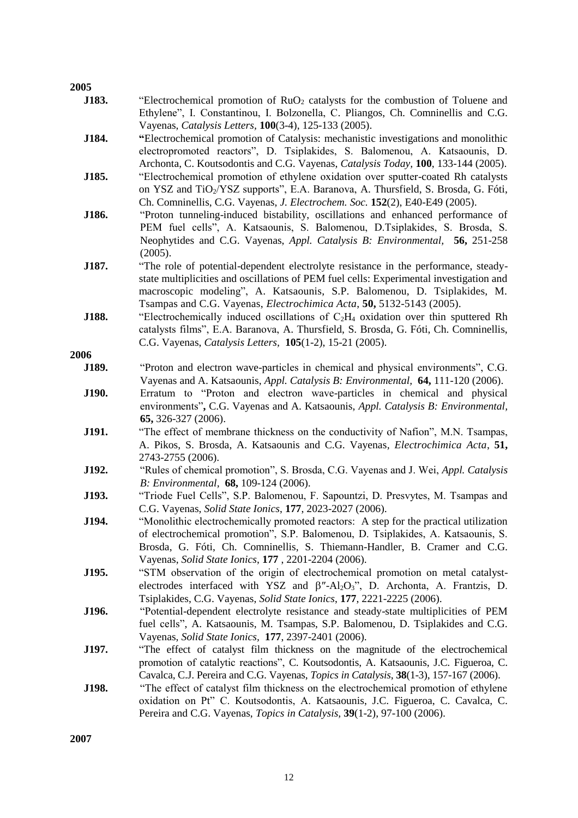| 2005  |                                                                                                                                        |
|-------|----------------------------------------------------------------------------------------------------------------------------------------|
| J183. | "Electrochemical promotion of $RuO2$ catalysts for the combustion of Toluene and                                                       |
|       | Ethylene", I. Constantinou, I. Bolzonella, C. Pliangos, Ch. Comninellis and C.G.                                                       |
|       | Vayenas, Catalysis Letters, 100(3-4), 125-133 (2005).                                                                                  |
| J184. | "Electrochemical promotion of Catalysis: mechanistic investigations and monolithic                                                     |
|       | electropromoted reactors", D. Tsiplakides, S. Balomenou, A. Katsaounis, D.                                                             |
|       | Archonta, C. Koutsodontis and C.G. Vayenas, Catalysis Today, 100, 133-144 (2005).                                                      |
| J185. | "Electrochemical promotion of ethylene oxidation over sputter-coated Rh catalysts                                                      |
|       | on YSZ and TiO <sub>2</sub> /YSZ supports", E.A. Baranova, A. Thursfield, S. Brosda, G. Fóti,                                          |
|       | Ch. Comninellis, C.G. Vayenas, J. Electrochem. Soc. 152(2), E40-E49 (2005).                                                            |
| J186. | "Proton tunneling-induced bistability, oscillations and enhanced performance of                                                        |
|       | PEM fuel cells", A. Katsaounis, S. Balomenou, D.Tsiplakides, S. Brosda, S.                                                             |
|       | Neophytides and C.G. Vayenas, Appl. Catalysis B: Environmental, 56, 251-258                                                            |
|       | (2005).                                                                                                                                |
| J187. | "The role of potential-dependent electrolyte resistance in the performance, steady-                                                    |
|       | state multiplicities and oscillations of PEM fuel cells: Experimental investigation and                                                |
|       | macroscopic modeling", A. Katsaounis, S.P. Balomenou, D. Tsiplakides, M.                                                               |
|       | Tsampas and C.G. Vayenas, Electrochimica Acta, 50, 5132-5143 (2005).                                                                   |
| J188. | "Electrochemically induced oscillations of $C_2H_4$ oxidation over thin sputtered Rh                                                   |
|       | catalysts films", E.A. Baranova, A. Thursfield, S. Brosda, G. Fóti, Ch. Comninellis,                                                   |
| 2006  | C.G. Vayenas, Catalysis Letters, 105(1-2), 15-21 (2005).                                                                               |
| J189. | "Proton and electron wave-particles in chemical and physical environments", C.G.                                                       |
|       | Vayenas and A. Katsaounis, Appl. Catalysis B: Environmental, 64, 111-120 (2006).                                                       |
| J190. | Erratum to "Proton and electron wave-particles in chemical and physical                                                                |
|       | environments", C.G. Vayenas and A. Katsaounis, Appl. Catalysis B: Environmental,                                                       |
|       | 65, 326-327 (2006).                                                                                                                    |
| J191. | "The effect of membrane thickness on the conductivity of Nafion", M.N. Tsampas,                                                        |
|       | A. Pikos, S. Brosda, A. Katsaounis and C.G. Vayenas, Electrochimica Acta, 51,                                                          |
|       | 2743-2755 (2006).                                                                                                                      |
| J192. | "Rules of chemical promotion", S. Brosda, C.G. Vayenas and J. Wei, Appl. Catalysis                                                     |
|       | B: Environmental, 68, 109-124 (2006).                                                                                                  |
| J193. | "Triode Fuel Cells", S.P. Balomenou, F. Sapountzi, D. Presvytes, M. Tsampas and                                                        |
|       | C.G. Vayenas, Solid State Ionics, 177, 2023-2027 (2006).                                                                               |
| J194. | "Monolithic electrochemically promoted reactors: A step for the practical utilization                                                  |
|       | of electrochemical promotion", S.P. Balomenou, D. Tsiplakides, A. Katsaounis, S.                                                       |
|       | Brosda, G. Fóti, Ch. Comninellis, S. Thiemann-Handler, B. Cramer and C.G.                                                              |
|       | Vayenas, Solid State Ionics, 177, 2201-2204 (2006).                                                                                    |
| J195. | "STM observation of the origin of electrochemical promotion on metal catalyst-                                                         |
|       | electrodes interfaced with YSZ and $\beta''$ -Al <sub>2</sub> O <sub>3</sub> ", D. Archonta, A. Frantzis, D.                           |
|       | Tsiplakides, C.G. Vayenas, Solid State Ionics, 177, 2221-2225 (2006).                                                                  |
| J196. | "Potential-dependent electrolyte resistance and steady-state multiplicities of PEM                                                     |
|       | fuel cells", A. Katsaounis, M. Tsampas, S.P. Balomenou, D. Tsiplakides and C.G.<br>Vayenas, Solid State Ionics, 177, 2397-2401 (2006). |
| J197. | "The effect of catalyst film thickness on the magnitude of the electrochemical                                                         |
|       | promotion of catalytic reactions", C. Koutsodontis, A. Katsaounis, J.C. Figueroa, C.                                                   |
|       | Cavalca, C.J. Pereira and C.G. Vayenas, <i>Topics in Catalysis</i> , 38(1-3), 157-167 (2006).                                          |
| J198. | "The effect of catalyst film thickness on the electrochemical promotion of ethylene                                                    |
|       | oxidation on Pt" C. Koutsodontis, A. Katsaounis, J.C. Figueroa, C. Cavalca, C.                                                         |
|       | Pereira and C.G. Vayenas, Topics in Catalysis, 39(1-2), 97-100 (2006).                                                                 |
|       |                                                                                                                                        |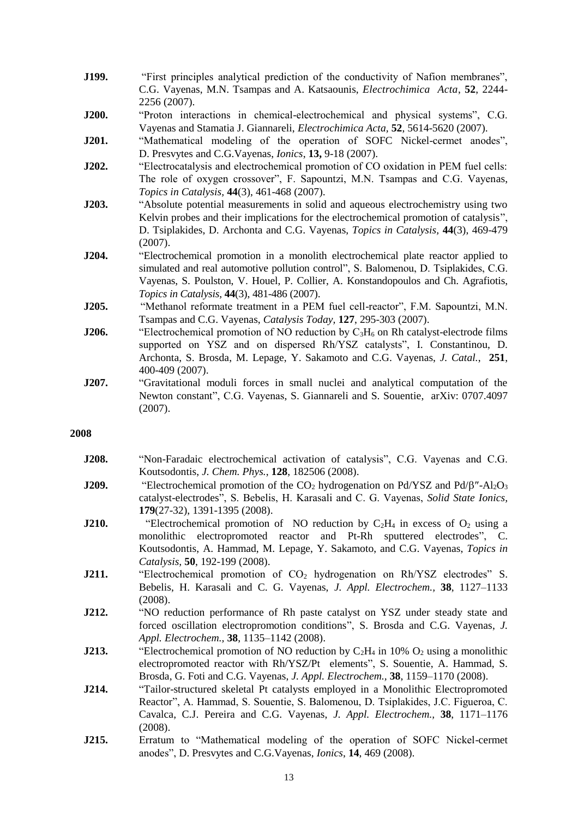- **J199.** "First principles analytical prediction of the conductivity of Nafion membranes", C.G. Vayenas, M.N. Tsampas and A. Katsaounis, *Electrochimica Acta*, **52**, 2244- 2256 (2007).
- **J200.** "Proton interactions in chemical-electrochemical and physical systems", C.G. Vayenas and Stamatia J. Giannareli, *Electrochimica Acta,* **52**, 5614-5620 (2007).
- **J201.** "Mathematical modeling of the operation of SOFC Nickel-cermet anodes", D. Presvytes and C.G.Vayenas, *Ionics*, **13,** 9-18 (2007).
- **J202.** "Electrocatalysis and electrochemical promotion of CO oxidation in PEM fuel cells: The role of oxygen crossover", F. Sapountzi, M.N. Tsampas and C.G. Vayenas, *Topics in Catalysis,* **44**(3), 461-468 (2007).
- **J203.** "Absolute potential measurements in solid and aqueous electrochemistry using two Kelvin probes and their implications for the electrochemical promotion of catalysis", D. Tsiplakides, D. Archonta and C.G. Vayenas, *Topics in Catalysis,* **44**(3), 469-479 (2007).
- **J204.** "Electrochemical promotion in a monolith electrochemical plate reactor applied to simulated and real automotive pollution control", S. Balomenou, D. Tsiplakides, C.G. Vayenas, S. Poulston, V. Houel, P. Collier, A. Konstandopoulos and Ch. Agrafiotis, *Topics in Catalysis,* **44**(3), 481-486 (2007).
- **J205.** "Methanol reformate treatment in a PEM fuel cell-reactor", F.M. Sapountzi, M.N. Tsampas and C.G. Vayenas, *Catalysis Today,* **127**, 295-303 (2007).
- **J206.** "Electrochemical promotion of NO reduction by C<sub>3</sub>H<sub>6</sub> on Rh catalyst-electrode films supported on YSZ and on dispersed Rh/YSZ catalysts", I. Constantinou, D. Archonta, S. Brosda, M. Lepage, Y. Sakamoto and C.G. Vayenas, *J. Catal.*, **251**, 400-409 (2007).
- **J207.** "Gravitational moduli forces in small nuclei and analytical computation of the Newton constant", C.G. Vayenas, S. Giannareli and S. Souentie, arXiv: 0707.4097 (2007).

| J208. | "Non-Faradaic electrochemical activation of catalysis", C.G. Vayenas and C.G.                                     |
|-------|-------------------------------------------------------------------------------------------------------------------|
|       | Koutsodontis, J. Chem. Phys., 128, 182506 (2008).                                                                 |
| J209. | "Electrochemical promotion of the $CO_2$ hydrogenation on Pd/YSZ and Pd/ $\beta$ "-Al <sub>2</sub> O <sub>3</sub> |
|       | catalyst-electrodes", S. Bebelis, H. Karasali and C. G. Vayenas, Solid State Ionics,                              |
|       | 179(27-32), 1391-1395 (2008).                                                                                     |
| J210. | "Electrochemical promotion of NO reduction by $C_2H_4$ in excess of $O_2$ using a                                 |
|       | monolithic electropromoted reactor and Pt-Rh sputtered electrodes", C.                                            |
|       | Koutsodontis, A. Hammad, M. Lepage, Y. Sakamoto, and C.G. Vayenas, Topics in                                      |
|       | Catalysis, 50, 192-199 (2008).                                                                                    |
| J211. | "Electrochemical promotion of $CO2$ hydrogenation on Rh/YSZ electrodes" S.                                        |
|       | Bebelis, H. Karasali and C. G. Vayenas, J. Appl. Electrochem., 38, 1127–1133                                      |
|       | (2008).                                                                                                           |
| J212. | "NO reduction performance of Rh paste catalyst on YSZ under steady state and                                      |
|       | forced oscillation electropromotion conditions", S. Brosda and C.G. Vayenas, J.                                   |
|       | Appl. Electrochem., 38, 1135-1142 (2008).                                                                         |
| J213. | "Electrochemical promotion of NO reduction by $C_2H_4$ in 10% $O_2$ using a monolithic                            |
|       | electropromoted reactor with Rh/YSZ/Pt elements", S. Souentie, A. Hammad, S.                                      |
|       | Brosda, G. Foti and C.G. Vayenas, J. Appl. Electrochem., 38, 1159-1170 (2008).                                    |
| J214. | "Tailor-structured skeletal Pt catalysts employed in a Monolithic Electropromoted                                 |
|       | Reactor", A. Hammad, S. Souentie, S. Balomenou, D. Tsiplakides, J.C. Figueroa, C.                                 |
|       | Cavalca, C.J. Pereira and C.G. Vayenas, J. Appl. Electrochem., 38, 1171-1176                                      |
|       | (2008).                                                                                                           |
| J215. | Erratum to "Mathematical modeling of the operation of SOFC Nickel-cermet                                          |
|       | anodes", D. Presvytes and C.G. Vayenas, <i>Ionics</i> , 14, 469 (2008).                                           |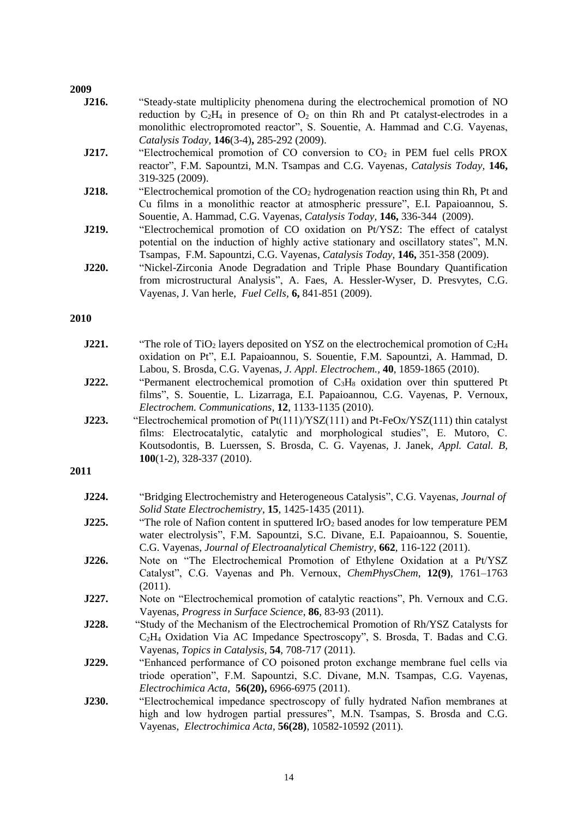| J216. | "Steady-state multiplicity phenomena during the electrochemical promotion of NO       |
|-------|---------------------------------------------------------------------------------------|
|       | reduction by $C_2H_4$ in presence of $O_2$ on thin Rh and Pt catalyst-electrodes in a |
|       | monolithic electropromoted reactor", S. Souentie, A. Hammad and C.G. Vayenas,         |
|       | Catalysis Today, 146(3-4), 285-292 (2009).                                            |

- **J217.** "Electrochemical promotion of CO conversion to CO<sub>2</sub> in PEM fuel cells PROX reactor", F.M. Sapountzi, M.N. Tsampas and C.G. Vayenas, *Catalysis Today,* **146,**  319-325 (2009).
- **J218.** "Electrochemical promotion of the CO<sub>2</sub> hydrogenation reaction using thin Rh, Pt and Cu films in a monolithic reactor at atmospheric pressure", E.I. Papaioannou, S. Souentie, A. Hammad, C.G. Vayenas, *Catalysis Today,* **146,** 336-344 (2009).
- **J219.** "Electrochemical promotion of CO oxidation on Pt/YSZ: The effect of catalyst potential on the induction of highly active stationary and oscillatory states", M.N. Tsampas, F.M. Sapountzi, C.G. Vayenas, *Catalysis Today,* **146,** 351-358 (2009).
- **J220.** "Nickel-Zirconia Anode Degradation and Triple Phase Boundary Quantification from microstructural Analysis", A. Faes, A. Hessler-Wyser, D. Presvytes, C.G. Vayenas, J. Van herle, *Fuel Cells,* **6,** 841-851 (2009).

#### **2010**

| J221. | "The role of TiO <sub>2</sub> layers deposited on YSZ on the electrochemical promotion of $C_2H_4$ |
|-------|----------------------------------------------------------------------------------------------------|
|       | oxidation on Pt", E.I. Papaioannou, S. Souentie, F.M. Sapountzi, A. Hammad, D.                     |
|       | Labou, S. Brosda, C.G. Vayenas, J. Appl. Electrochem., 40, 1859-1865 (2010).                       |

- **J222.** "Permanent electrochemical promotion of C<sub>3</sub>H<sub>8</sub> oxidation over thin sputtered Pt films", S. Souentie, L. Lizarraga, E.I. Papaioannou, C.G. Vayenas, P. Vernoux, *Electrochem. Communications,* **12**, 1133-1135 (2010).
- **J223.** "Electrochemical promotion of Pt(111)/YSZ(111) and Pt-FeOx/YSZ(111) thin catalyst films: Electrocatalytic, catalytic and morphological studies", E. Mutoro, C. Koutsodontis, B. Luerssen, S. Brosda, C. G. Vayenas, J. Janek, *Appl. Catal. B,*  **100**(1-2), 328-337 (2010).

| J224. | "Bridging Electrochemistry and Heterogeneous Catalysis", C.G. Vayenas, Journal of |
|-------|-----------------------------------------------------------------------------------|
|       | <i>Solid State Electrochemistry</i> , <b>15</b> , 1425-1435 (2011).               |

- **J225. The role of Nafion content in sputtered IrO<sub>2</sub> based anodes for low temperature PEM** water electrolysis", F.M. Sapountzi, S.C. Divane, E.I. Papaioannou, S. Souentie, C.G. Vayenas, *Journal of Electroanalytical Chemistry*, **662**, 116-122 (2011).
- **J226.** Note on "The Electrochemical Promotion of Ethylene Oxidation at a Pt/YSZ Catalyst", C.G. Vayenas and Ph. Vernoux, *ChemPhysChem*, **12(9)**, 1761–1763 (2011).
- **J227.** Note on "Electrochemical promotion of catalytic reactions", Ph. Vernoux and C.G. Vayenas, *Progress in Surface Science*, **86**, 83-93 (2011).
- **J228.** "Study of the Mechanism of the Electrochemical Promotion of Rh/YSZ Catalysts for C2H<sup>4</sup> Oxidation Via AC Impedance Spectroscopy", S. Brosda, T. Badas and C.G. Vayenas, *Topics in Catalysis*, **54**, 708-717 (2011).
- **J229.** "Enhanced performance of CO poisoned proton exchange membrane fuel cells via triode operation", F.M. Sapountzi, S.C. Divane, M.N. Tsampas, C.G. Vayenas, *Electrochimica Acta,* **56(20),** 6966-6975 (2011).
- **J230.** "Electrochemical impedance spectroscopy of fully hydrated Nafion membranes at high and low hydrogen partial pressures", M.N. Tsampas, S. Brosda and C.G. Vayenas, *Electrochimica Acta*, **56(28)**, 10582-10592 (2011).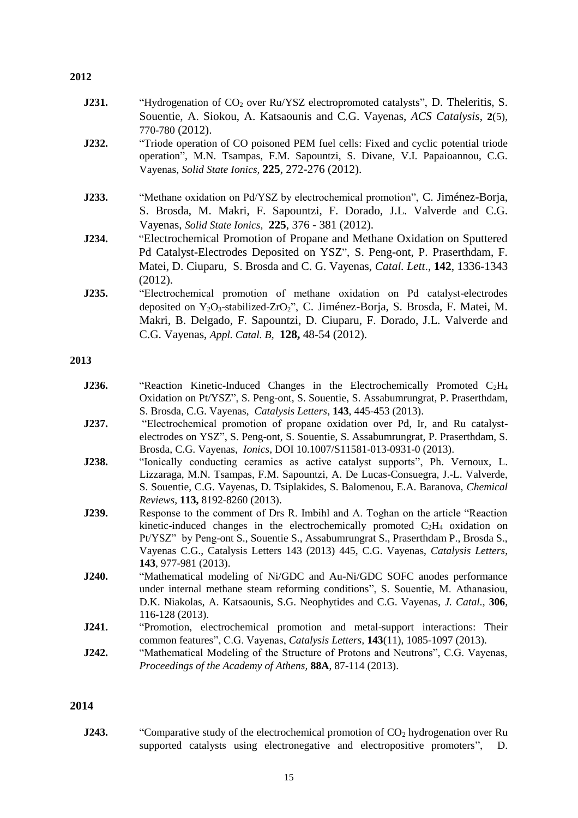- **J231.** "Hydrogenation of CO<sub>2</sub> over Ru/YSZ electropromoted catalysts", D. Theleritis, S. Souentie, A. Siokou, A. Katsaounis and C.G. Vayenas, *ACS Catalysis*, **2**(5), 770-780 (2012).
- **J232.** "Triode operation of CO poisoned PEM fuel cells: Fixed and cyclic potential triode operation", M.N. Tsampas, F.M. Sapountzi, S. Divane, V.I. Papaioannou, C.G. Vayenas, *Solid State Ionics,* **225**, 272-276 (2012).
- **J233.** "Methane oxidation on Pd/YSZ by electrochemical promotion", C. Jiménez-Borja, S. Brosda, M. Makri, F. Sapountzi, F. Dorado, J.L. Valverde and C.G. Vayenas, *Solid State Ionics,* **225**, 376 - 381 (2012).
- **J234.** "Electrochemical Promotion of Propane and Methane Oxidation on Sputtered Pd Catalyst-Electrodes Deposited on YSZ", S. Peng-ont, P. Praserthdam, F. Matei, D. Ciuparu, S. Brosda and C. G. Vayenas, *Catal. Lett*., **142**, 1336-1343 (2012).
- **J235.** "Electrochemical promotion of methane oxidation on Pd catalyst-electrodes deposited on Y2O3-stabilized-ZrO2", C. Jiménez-Borja, S. Brosda, F. Matei, M. Makri, B. Delgado, F. Sapountzi, D. Ciuparu, F. Dorado, J.L. Valverde and C.G. Vayenas, *Appl. Catal. B,* **128,** 48-54 (2012).

#### **2013**

| J236. |  |  | "Reaction Kinetic-Induced Changes in the Electrochemically Promoted $C_2H_4$       |  |
|-------|--|--|------------------------------------------------------------------------------------|--|
|       |  |  | Oxidation on Pt/YSZ", S. Peng-ont, S. Souentie, S. Assabumrungrat, P. Praserthdam, |  |
|       |  |  | S. Brosda, C.G. Vayenas, <i>Catalysis Letters</i> , <b>143</b> , 445-453 (2013).   |  |

- **J237.** "Electrochemical promotion of propane oxidation over Pd, Ir, and Ru catalystelectrodes on YSZ", S. Peng-ont, S. Souentie, S. Assabumrungrat, P. Praserthdam, S. Brosda, C.G. Vayenas, *Ionics*, DOI 10.1007/S11581-013-0931-0 (2013).
- **J238.** "Ionically conducting ceramics as active catalyst supports", Ph. Vernoux, L. Lizzaraga, M.N. Tsampas, F.M. Sapountzi, A. De Lucas-Consuegra, J.-L. Valverde, S. Souentie, C.G. Vayenas, D. Tsiplakides, S. Balomenou, E.A. Baranova, *Chemical Reviews*, **113,** 8192-8260 (2013).
- **J239.** Response to the comment of Drs R. Imbihl and A. Toghan on the article "Reaction" kinetic-induced changes in the electrochemically promoted  $C_2H_4$  oxidation on Pt/YSZ" by Peng-ont S., Souentie S., Assabumrungrat S., Praserthdam P., Brosda S., Vayenas C.G., Catalysis Letters 143 (2013) 445, C.G. Vayenas, *Catalysis Letters*, **143**, 977-981 (2013).
- **J240.** "Mathematical modeling of Ni/GDC and Au-Ni/GDC SOFC anodes performance under internal methane steam reforming conditions", S. Souentie, M. Athanasiou, D.K. Niakolas, A. Katsaounis, S.G. Neophytides and C.G. Vayenas, *J. Catal.,* **306**, 116-128 (2013).
- **J241.** "Promotion, electrochemical promotion and metal-support interactions: Their common features", C.G. Vayenas, *Catalysis Letters,* **143**(11), 1085-1097 (2013).
- **J242.** "Mathematical Modeling of the Structure of Protons and Neutrons", C.G. Vayenas, *Proceedings of the Academy of Athens,* **88A**, 87-114 (2013).

#### **2014**

**J243.** "Comparative study of the electrochemical promotion of CO<sub>2</sub> hydrogenation over Ru supported catalysts using electronegative and electropositive promoters", D.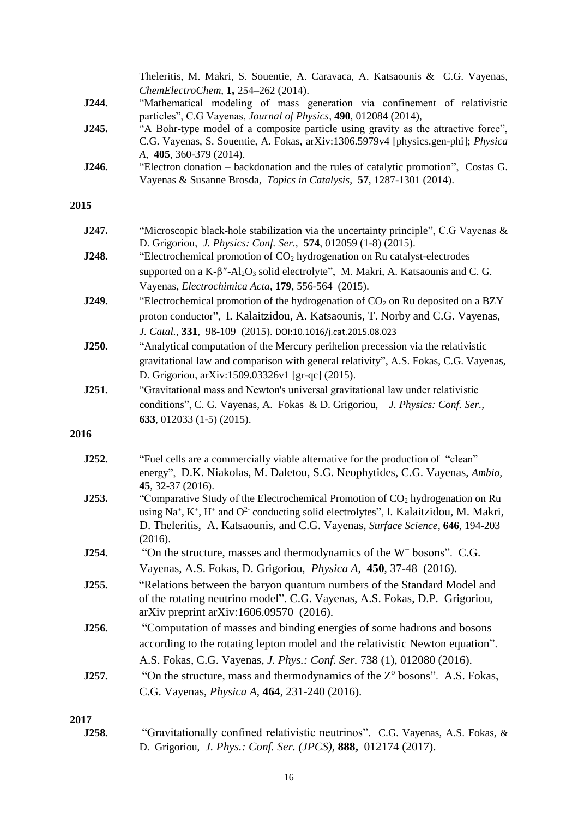| J244. | Theleritis, M. Makri, S. Souentie, A. Caravaca, A. Katsaounis & C.G. Vayenas,<br>ChemElectroChem, 1, 254-262 (2014).<br>"Mathematical modeling of mass generation via confinement of relativistic                                                                                                                     |  |  |  |  |  |
|-------|-----------------------------------------------------------------------------------------------------------------------------------------------------------------------------------------------------------------------------------------------------------------------------------------------------------------------|--|--|--|--|--|
|       | particles", C.G Vayenas, Journal of Physics, 490, 012084 (2014),                                                                                                                                                                                                                                                      |  |  |  |  |  |
| J245. | "A Bohr-type model of a composite particle using gravity as the attractive force",<br>C.G. Vayenas, S. Souentie, A. Fokas, arXiv:1306.5979v4 [physics.gen-phi]; Physica<br>A, 405, 360-379 (2014).                                                                                                                    |  |  |  |  |  |
| J246. | "Electron donation – backdonation and the rules of catalytic promotion", Costas G.<br>Vayenas & Susanne Brosda, Topics in Catalysis, 57, 1287-1301 (2014).                                                                                                                                                            |  |  |  |  |  |
| 2015  |                                                                                                                                                                                                                                                                                                                       |  |  |  |  |  |
| J247. | "Microscopic black-hole stabilization via the uncertainty principle", C.G Vayenas &<br>D. Grigoriou, J. Physics: Conf. Ser., 574, 012059 (1-8) (2015).                                                                                                                                                                |  |  |  |  |  |
| J248. | "Electrochemical promotion of CO <sub>2</sub> hydrogenation on Ru catalyst-electrodes<br>supported on a $K-\beta''-Al_2O_3$ solid electrolyte", M. Makri, A. Katsaounis and C. G.                                                                                                                                     |  |  |  |  |  |
| J249. | Vayenas, Electrochimica Acta, 179, 556-564 (2015).<br>"Electrochemical promotion of the hydrogenation of $CO2$ on Ru deposited on a BZY<br>proton conductor", I. Kalaitzidou, A. Katsaounis, T. Norby and C.G. Vayenas,<br>J. Catal., 331, 98-109 (2015). DOI:10.1016/j.cat.2015.08.023                               |  |  |  |  |  |
| J250. | "Analytical computation of the Mercury perihelion precession via the relativistic<br>gravitational law and comparison with general relativity", A.S. Fokas, C.G. Vayenas,<br>D. Grigoriou, arXiv:1509.03326v1 [gr-qc] (2015).                                                                                         |  |  |  |  |  |
| J251. | "Gravitational mass and Newton's universal gravitational law under relativistic<br>conditions", C. G. Vayenas, A. Fokas & D. Grigoriou, J. Physics: Conf. Ser.,<br>633, 012033 $(1-5)$ $(2015)$ .                                                                                                                     |  |  |  |  |  |
| 2016  |                                                                                                                                                                                                                                                                                                                       |  |  |  |  |  |
| J252. | "Fuel cells are a commercially viable alternative for the production of "clean"<br>energy", D.K. Niakolas, M. Daletou, S.G. Neophytides, C.G. Vayenas, Ambio,<br>45, 32-37 (2016).                                                                                                                                    |  |  |  |  |  |
| J253. | "Comparative Study of the Electrochemical Promotion of CO <sub>2</sub> hydrogenation on Ru<br>using Na <sup>+</sup> , K <sup>+</sup> , H <sup>+</sup> and $O^2$ conducting solid electrolytes", I. Kalaitzidou, M. Makri,<br>D. Theleritis, A. Katsaounis, and C.G. Vayenas, Surface Science, 646, 194-203<br>(2016). |  |  |  |  |  |
| J254. | "On the structure, masses and thermodynamics of the $W^{\pm}$ bosons". C.G.                                                                                                                                                                                                                                           |  |  |  |  |  |
|       | Vayenas, A.S. Fokas, D. Grigoriou, Physica A, 450, 37-48 (2016).                                                                                                                                                                                                                                                      |  |  |  |  |  |
| J255. | "Relations between the baryon quantum numbers of the Standard Model and<br>of the rotating neutrino model". C.G. Vayenas, A.S. Fokas, D.P. Grigoriou,<br>arXiv preprint arXiv:1606.09570 (2016).                                                                                                                      |  |  |  |  |  |
| J256. | "Computation of masses and binding energies of some hadrons and bosons<br>according to the rotating lepton model and the relativistic Newton equation".<br>A.S. Fokas, C.G. Vayenas, J. Phys.: Conf. Ser. 738 (1), 012080 (2016).                                                                                     |  |  |  |  |  |
| J257. | "On the structure, mass and thermodynamics of the Z <sup>o</sup> bosons". A.S. Fokas,                                                                                                                                                                                                                                 |  |  |  |  |  |
|       | C.G. Vayenas, <i>Physica A</i> , <b>464</b> , 231-240 (2016).                                                                                                                                                                                                                                                         |  |  |  |  |  |
| 2017  |                                                                                                                                                                                                                                                                                                                       |  |  |  |  |  |
| J258. | "Gravitationally confined relativistic neutrinos". C.G. Vayenas, A.S. Fokas, &<br>D. Grigoriou, J. Phys.: Conf. Ser. (JPCS), 888, 012174 (2017).                                                                                                                                                                      |  |  |  |  |  |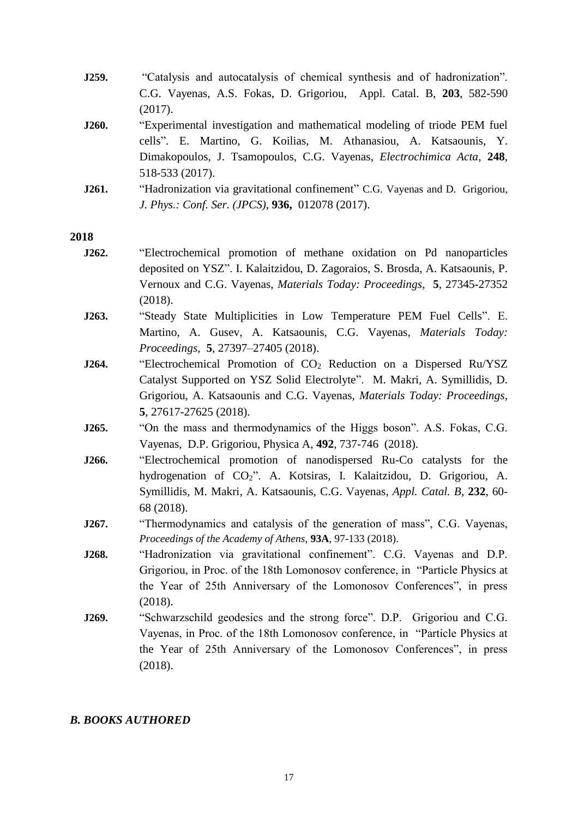- **J259.** "Catalysis and autocatalysis of chemical synthesis and of hadronization". C.G. Vayenas, A.S. Fokas, D. Grigoriou, Appl. Catal. B, **203**, 582-590 (2017).
- **J260.** "Experimental investigation and mathematical modeling of triode PEM fuel cells". E. Martino, G. Koilias, M. Athanasiou, A. Katsaounis, Y. Dimakopoulos, J. Tsamopoulos, C.G. Vayenas, *Electrochimica Acta*, **248**, 518-533 (2017).
- **J261.** "Hadronization via gravitational confinement" C.G. Vayenas and D. Grigoriou, *J. Phys.: Conf. Ser. (JPCS)*, **936,** 012078 (2017).

- **J262.** "Electrochemical promotion of methane oxidation on Pd nanoparticles deposited on YSZ". I. Kalaitzidou, D. Zagoraios, S. Brosda, A. Katsaounis, P. Vernoux and C.G. Vayenas, *Materials Today: Proceedings*, **5**, 27345-27352 (2018).
- **J263.** "Steady State Multiplicities in Low Temperature PEM Fuel Cells". E. Martino, A. Gusev, A. Katsaounis, C.G. Vayenas, *Materials Today: Proceedings*, **5**, 27397–27405 (2018).
- **J264.** "Electrochemical Promotion of CO<sub>2</sub> Reduction on a Dispersed Ru/YSZ Catalyst Supported on YSZ Solid Electrolyte". M. Makri, A. Symillidis, D. Grigoriou, A. Katsaounis and C.G. Vayenas, *Materials Today: Proceedings*, **5**, 27617-27625 (2018).
- **J265.** "On the mass and thermodynamics of the Higgs boson". A.S. Fokas, C.G. Vayenas, D.P. Grigoriou, Physica A, **492**, 737-746 (2018).
- **J266.** "Electrochemical promotion of nanodispersed Ru-Co catalysts for the hydrogenation of CO2". A. Kotsiras, I. Kalaitzidou, D. Grigoriou, A. Symillidis, M. Makri, A. Katsaounis, C.G. Vayenas, *Appl. Catal. B*, **232**, 60- 68 (2018).
- **J267.** "Thermodynamics and catalysis of the generation of mass", C.G. Vayenas, *Proceedings of the Academy of Athens,* **93A**, 97-133 (2018).
- **J268.** "Hadronization via gravitational confinement". C.G. Vayenas and D.P. Grigoriou, in Proc. of the 18th Lomonosov conference, in "Particle Physics at the Year of 25th Anniversary of the Lomonosov Conferences", in press (2018).
- **J269.** "Schwarzschild geodesics and the strong force". D.P. Grigoriou and C.G. Vayenas, in Proc. of the 18th Lomonosov conference, in "Particle Physics at the Year of 25th Anniversary of the Lomonosov Conferences", in press (2018).

#### *B. BOOKS AUTHORED*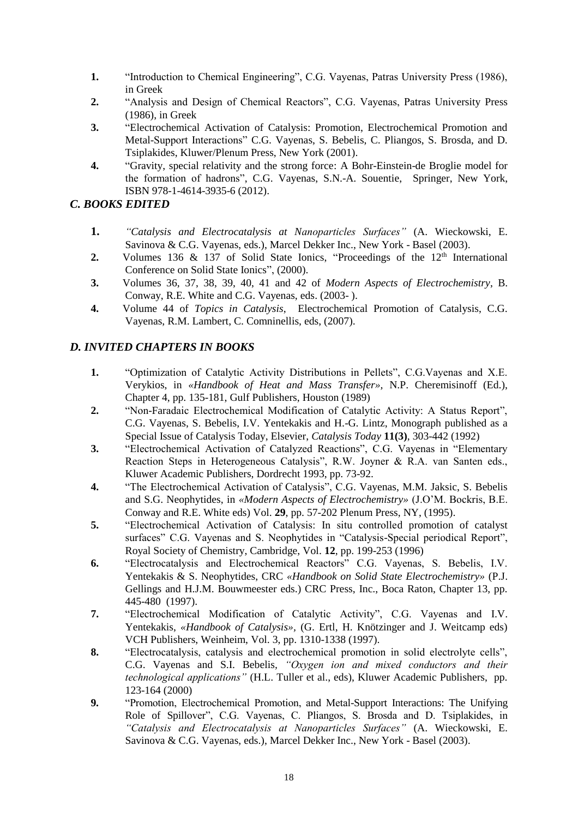- **1.** "Introduction to Chemical Engineering", C.G. Vayenas, Patras University Press (1986), in Greek
- **2.** "Analysis and Design of Chemical Reactors", C.G. Vayenas, Patras University Press (1986), in Greek
- **3.** "Electrochemical Activation of Catalysis: Promotion, Electrochemical Promotion and Metal-Support Interactions" C.G. Vayenas, S. Bebelis, C. Pliangos, S. Brosda, and D. Tsiplakides, Kluwer/Plenum Press, New York (2001).
- **4.** "Gravity, special relativity and the strong force: A Bohr-Einstein-de Broglie model for the formation of hadrons", C.G. Vayenas, S.N.-A. Souentie, Springer, New York, ISBN 978-1-4614-3935-6 (2012).
- *C. BOOKS EDITED*
	- **1.** *"Catalysis and Electrocatalysis at Nanoparticles Surfaces"* (A. Wieckowski, E. Savinova & C.G. Vayenas, eds.), Marcel Dekker Inc., New York - Basel (2003).
	- **2.** Volumes 136 & 137 of Solid State Ionics, "Proceedings of the 12<sup>th</sup> International Conference on Solid State Ionics", (2000).
	- **3.** Volumes 36, 37, 38, 39, 40, 41 and 42 of *Modern Aspects of Electrochemistry*, B. Conway, R.E. White and C.G. Vayenas, eds. (2003- ).
	- **4.** Volume 44 of *Topics in Catalysis*, Electrochemical Promotion of Catalysis, C.G. Vayenas, R.M. Lambert, C. Comninellis, eds, (2007).

## *D. INVITED CHAPTERS IN BOOKS*

- **1.** "Optimization of Catalytic Activity Distributions in Pellets", C.G.Vayenas and X.E. Verykios, in *«Handbook of Heat and Mass Transfer»,* N.P. Cheremisinoff (Ed.), Chapter 4, pp. 135-181, Gulf Publishers, Houston (1989)
- **2.** "Non-Faradaic Electrochemical Modification of Catalytic Activity: A Status Report", C.G. Vayenas, S. Bebelis, I.V. Yentekakis and H.-G. Lintz, Monograph published as a Special Issue of Catalysis Today, Elsevier, *Catalysis Today* **11(3)**, 303-442 (1992)
- **3.** "Electrochemical Activation of Catalyzed Reactions", C.G. Vayenas in "Elementary Reaction Steps in Heterogeneous Catalysis", R.W. Joyner & R.A. van Santen eds., Kluwer Academic Publishers, Dordrecht 1993, pp. 73-92.
- **4.** "The Electrochemical Activation of Catalysis", C.G. Vayenas, M.M. Jaksic, S. Bebelis and S.G. Neophytides, in *«Modern Aspects of Electrochemistry»* (J.O'M. Bockris, B.E. Conway and R.E. White eds) Vol. **29**, pp. 57-202 Plenum Press, NY, (1995).
- **5.** "Electrochemical Activation of Catalysis: In situ controlled promotion of catalyst surfaces" C.G. Vayenas and S. Neophytides in "Catalysis-Special periodical Report", Royal Society of Chemistry, Cambridge, Vol. **12**, pp. 199-253 (1996)
- **6.** "Electrocatalysis and Electrochemical Reactors" C.G. Vayenas, S. Bebelis, I.V. Yentekakis & S. Neophytides, CRC *«Handbook on Solid State Electrochemistry»* (P.J. Gellings and H.J.M. Bouwmeester eds.) CRC Press, Inc., Boca Raton, Chapter 13, pp. 445-480 (1997).
- **7.** "Electrochemical Modification of Catalytic Activity", C.G. Vayenas and I.V. Yentekakis, *«Handbook of Catalysis»,* (G. Ertl, H. Knötzinger and J. Weitcamp eds) VCH Publishers, Weinheim, Vol. 3, pp. 1310-1338 (1997).
- **8.** "Electrocatalysis, catalysis and electrochemical promotion in solid electrolyte cells", C.G. Vayenas and S.I. Bebelis*, "Oxygen ion and mixed conductors and their technological applications"* (H.L. Tuller et al., eds), Kluwer Academic Publishers, pp. 123-164 (2000)
- **9.** "Promotion, Electrochemical Promotion, and Metal-Support Interactions: The Unifying Role of Spillover", C.G. Vayenas, C. Pliangos, S. Brosda and D. Tsiplakides, in *"Catalysis and Electrocatalysis at Nanoparticles Surfaces"* (A. Wieckowski, E. Savinova & C.G. Vayenas, eds.), Marcel Dekker Inc., New York - Basel (2003).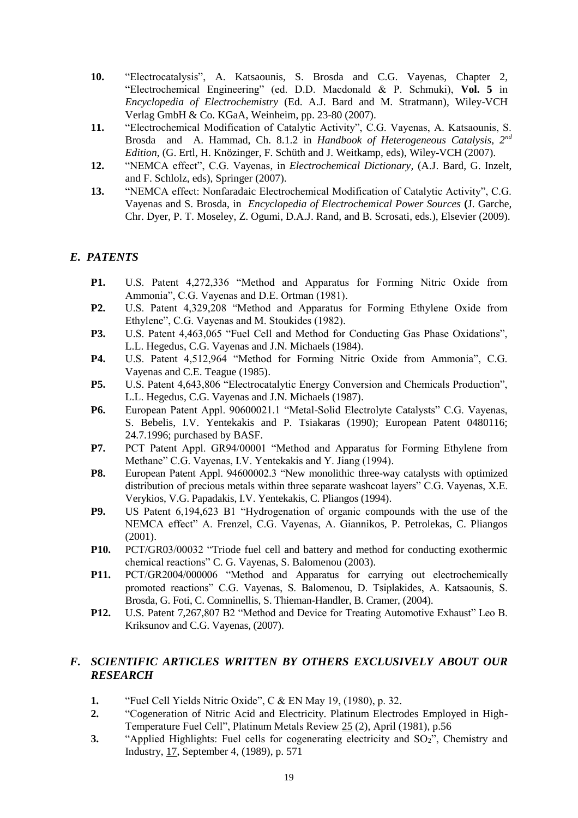- **10.** "Electrocatalysis", A. Katsaounis, S. Brosda and C.G. Vayenas, Chapter 2, "Electrochemical Engineering" (ed. D.D. Macdonald & P. Schmuki), **Vol. 5** in *Encyclopedia of Electrochemistry* (Ed. A.J. Bard and M. Stratmann), Wiley-VCH Verlag GmbH & Co. KGaA, Weinheim, pp. 23-80 (2007).
- **11.** "Electrochemical Modification of Catalytic Activity", C.G. Vayenas, A. Katsaounis, S. Brosda and A. Hammad, Ch. 8.1.2 in *Handbook of Heterogeneous Catalysis, 2nd Edition*, (G. Ertl, H. Knözinger, F. Schüth and J. Weitkamp, eds), Wiley-VCH (2007).
- **12.** ["NEMCA effect", C.G. Vayenas, in](../../../../../program%20files/qualcomm/eudora/CGVayenas_CurVitae_2012/NEMCA_Dictionary_3pages.pdf) *Electrochemical Dictionary,* (A.J. Bard, G. Inzelt, and F. Schlolz, eds), Springer (2007).
- **13.** "NEMCA effect: Nonfaradaic Electrochemical Modification of Catalytic Activity", C.G. Vayenas and S. Brosda, in *Encyclopedia of Electrochemical Power Sources* **(**J. Garche, Chr. Dyer, P. T. Moseley, Z. Ogumi, D.A.J. Rand, and B. Scrosati, eds.), Elsevier (2009).

## *E. PATENTS*

- **P1.** U.S. Patent 4,272,336 "Method and Apparatus for Forming Nitric Oxide from Ammonia", C.G. Vayenas and D.E. Ortman (1981).
- **P2.** U.S. Patent 4,329,208 "Method and Apparatus for Forming Ethylene Oxide from Ethylene", C.G. Vayenas and M. Stoukides (1982).
- **P3.** U.S. Patent 4,463,065 "Fuel Cell and Method for Conducting Gas Phase Oxidations", L.L. Hegedus, C.G. Vayenas and J.N. Michaels (1984).
- **P4.** U.S. Patent 4,512,964 "Method for Forming Nitric Oxide from Ammonia", C.G. Vayenas and C.E. Teague (1985).
- **P5.** U.S. Patent 4,643,806 "Electrocatalytic Energy Conversion and Chemicals Production", L.L. Hegedus, C.G. Vayenas and J.N. Michaels (1987).
- **P6.** European Patent Appl. 90600021.1 "Metal-Solid Electrolyte Catalysts" C.G. Vayenas, S. Bebelis, I.V. Yentekakis and P. Tsiakaras (1990); European Patent 0480116; 24.7.1996; purchased by BASF.
- **P7.** PCT Patent Appl. GR94/00001 "Method and Apparatus for Forming Ethylene from Methane" C.G. Vayenas, I.V. Yentekakis and Y. Jiang (1994).
- **P8.** European Patent Appl. 94600002.3 "New monolithic three-way catalysts with optimized distribution of precious metals within three separate washcoat layers" C.G. Vayenas, X.E. Verykios, V.G. Papadakis, I.V. Yentekakis, C. Pliangos (1994).
- **P9.** US Patent 6,194,623 B1 "Hydrogenation of organic compounds with the use of the NEMCA effect" A. Frenzel, C.G. Vayenas, A. Giannikos, P. Petrolekas, C. Pliangos (2001).
- **P10.** PCT/GR03/00032 "Triode fuel cell and battery and method for conducting exothermic chemical reactions" C. G. Vayenas, S. Balomenou (2003).
- **P11.** PCT/GR2004/000006 "Method and Apparatus for carrying out electrochemically promoted reactions" C.G. Vayenas, S. Balomenou, D. Tsiplakides, A. Katsaounis, S. Brosda, G. Foti, C. Comninellis, S. Thieman-Handler, B. Cramer, (2004).
- **P12.** U.S. Patent 7,267,807 B2 "Method and Device for Treating Automotive Exhaust" Leo B. Kriksunov and C.G. Vayenas, (2007).

## *F. SCIENTIFIC ARTICLES WRITTEN BY OTHERS EXCLUSIVELY ABOUT OUR RESEARCH*

- **1.** "Fuel Cell Yields Nitric Oxide", C & EN May 19, (1980), p. 32.
- **2.** "Cogeneration of Nitric Acid and Electricity. Platinum Electrodes Employed in High-Temperature Fuel Cell", Platinum Metals Review 25 (2), April (1981), p.56
- **3.** "Applied Highlights: Fuel cells for cogenerating electricity and SO<sub>2</sub>", Chemistry and Industry, 17, September 4, (1989), p. 571